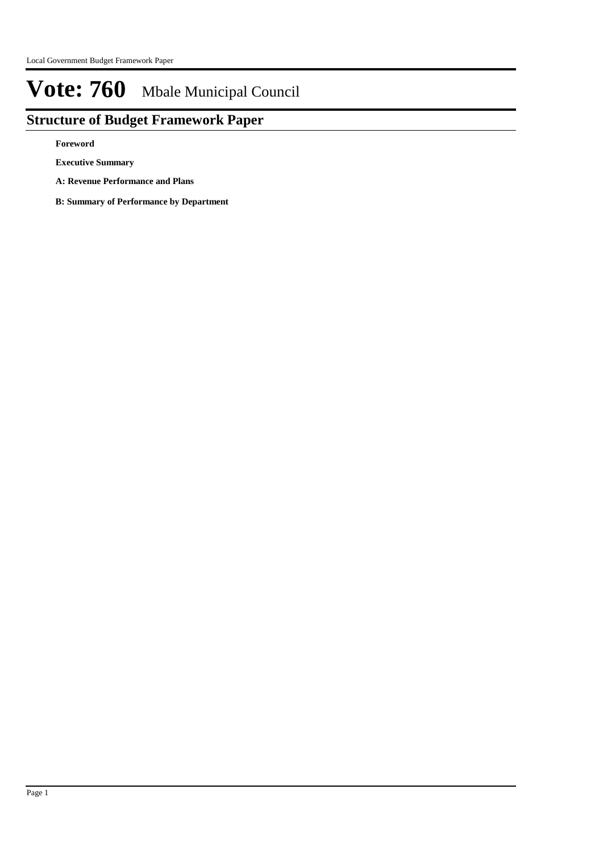## **Structure of Budget Framework Paper**

**Foreword**

**Executive Summary**

- **A: Revenue Performance and Plans**
- **B: Summary of Performance by Department**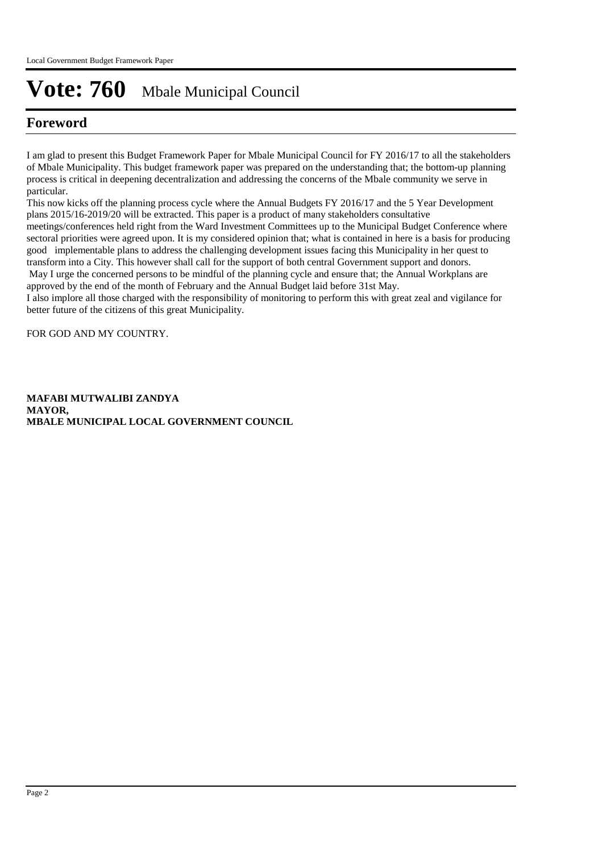## **Foreword**

I am glad to present this Budget Framework Paper for Mbale Municipal Council for FY 2016/17 to all the stakeholders of Mbale Municipality. This budget framework paper was prepared on the understanding that; the bottom-up planning process is critical in deepening decentralization and addressing the concerns of the Mbale community we serve in particular.

This now kicks off the planning process cycle where the Annual Budgets FY 2016/17 and the 5 Year Development plans 2015/16-2019/20 will be extracted. This paper is a product of many stakeholders consultative meetings/conferences held right from the Ward Investment Committees up to the Municipal Budget Conference where sectoral priorities were agreed upon. It is my considered opinion that; what is contained in here is a basis for producing good implementable plans to address the challenging development issues facing this Municipality in her quest to transform into a City. This however shall call for the support of both central Government support and donors. May I urge the concerned persons to be mindful of the planning cycle and ensure that; the Annual Workplans are approved by the end of the month of February and the Annual Budget laid before 31st May. I also implore all those charged with the responsibility of monitoring to perform this with great zeal and vigilance for

better future of the citizens of this great Municipality.

FOR GOD AND MY COUNTRY.

**MAFABI MUTWALIBI ZANDYA MAYOR, MBALE MUNICIPAL LOCAL GOVERNMENT COUNCIL**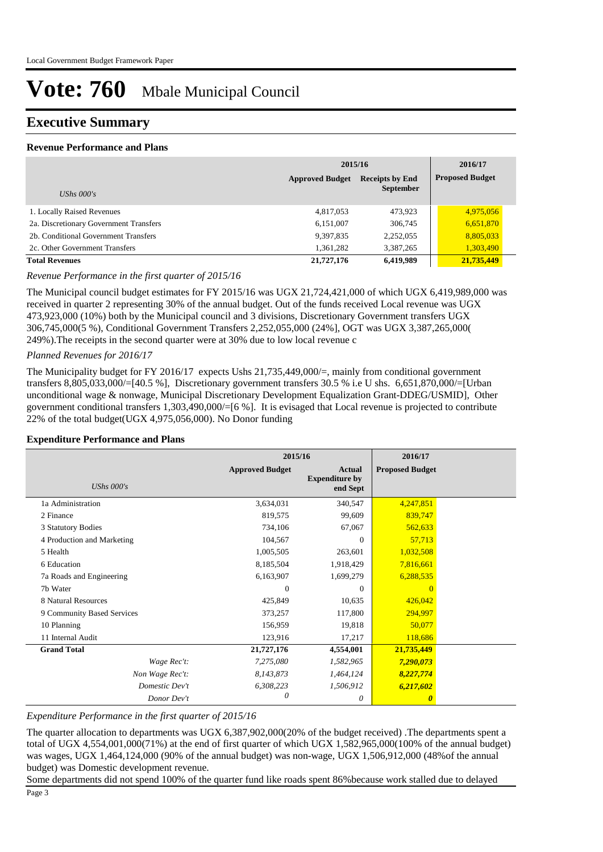### **Executive Summary**

#### **Revenue Performance and Plans**

|                                        | 2015/16                | 2016/17                                    |                        |
|----------------------------------------|------------------------|--------------------------------------------|------------------------|
| UShs $000's$                           | <b>Approved Budget</b> | <b>Receipts by End</b><br><b>September</b> | <b>Proposed Budget</b> |
|                                        |                        |                                            |                        |
| 1. Locally Raised Revenues             | 4,817,053              | 473,923                                    | 4,975,056              |
| 2a. Discretionary Government Transfers | 6,151,007              | 306,745                                    | 6,651,870              |
| 2b. Conditional Government Transfers   | 9,397,835              | 2,252,055                                  | 8,805,033              |
| 2c. Other Government Transfers         | 1,361,282              | 3,387,265                                  | 1,303,490              |
| <b>Total Revenues</b>                  | 21,727,176             | 6,419,989                                  | 21,735,449             |

*Revenue Performance in the first quarter of 2015/16*

The Municipal council budget estimates for FY 2015/16 was UGX 21,724,421,000 of which UGX 6,419,989,000 was received in quarter 2 representing 30% of the annual budget. Out of the funds received Local revenue was UGX 473,923,000 (10%) both by the Municipal council and 3 divisions, Discretionary Government transfers UGX 306,745,000(5 %), Conditional Government Transfers 2,252,055,000 (24%], OGT was UGX 3,387,265,000( 249%).The receipts in the second quarter were at 30% due to low local revenue c

#### *Planned Revenues for 2016/17*

The Municipality budget for FY 2016/17 expects Ushs 21,735,449,000/=, mainly from conditional government transfers 8,805,033,000/=[40.5 %], Discretionary government transfers 30.5 % i.e U shs. 6,651,870,000/=[Urban unconditional wage & nonwage, Municipal Discretionary Development Equalization Grant-DDEG/USMID], Other government conditional transfers 1,303,490,000/=[6 %]. It is evisaged that Local revenue is projected to contribute 22% of the total budget(UGX 4,975,056,000). No Donor funding

#### **Expenditure Performance and Plans**

|                            | 2015/16                |                                                    | 2016/17                |  |
|----------------------------|------------------------|----------------------------------------------------|------------------------|--|
| <b>UShs 000's</b>          | <b>Approved Budget</b> | <b>Actual</b><br><b>Expenditure by</b><br>end Sept | <b>Proposed Budget</b> |  |
| 1a Administration          | 3,634,031              | 340,547                                            | 4,247,851              |  |
| 2 Finance                  | 819,575                | 99,609                                             | 839,747                |  |
| 3 Statutory Bodies         | 734,106                | 67,067                                             | 562,633                |  |
| 4 Production and Marketing | 104,567                | $\Omega$                                           | 57,713                 |  |
| 5 Health                   | 1,005,505              | 263,601                                            | 1,032,508              |  |
| 6 Education                | 8,185,504              | 1,918,429                                          | 7,816,661              |  |
| 7a Roads and Engineering   | 6,163,907              | 1,699,279                                          | 6,288,535              |  |
| 7b Water                   | $\mathbf{0}$           | $\Omega$                                           | $\Omega$               |  |
| 8 Natural Resources        | 425,849                | 10,635                                             | 426,042                |  |
| 9 Community Based Services | 373,257                | 117,800                                            | 294,997                |  |
| 10 Planning                | 156,959                | 19,818                                             | 50,077                 |  |
| 11 Internal Audit          | 123,916                | 17,217                                             | 118,686                |  |
| <b>Grand Total</b>         | 21,727,176             | 4,554,001                                          | 21,735,449             |  |
| Wage Rec't:                | 7,275,080              | 1,582,965                                          | 7,290,073              |  |
| Non Wage Rec't:            | 8,143,873              | 1,464,124                                          | 8,227,774              |  |
| Domestic Dev't             | 6,308,223              | 1,506,912                                          | 6,217,602              |  |
| Donor Dev't                | 0                      | 0                                                  | 0                      |  |

#### *Expenditure Performance in the first quarter of 2015/16*

The quarter allocation to departments was UGX 6,387,902,000(20% of the budget received) .The departments spent a total of UGX 4,554,001,000(71%) at the end of first quarter of which UGX 1,582,965,000(100% of the annual budget) was wages, UGX 1,464,124,000 (90% of the annual budget) was non-wage, UGX 1,506,912,000 (48%of the annual budget) was Domestic development revenue.

Some departments did not spend 100% of the quarter fund like roads spent 86%because work stalled due to delayed Page 3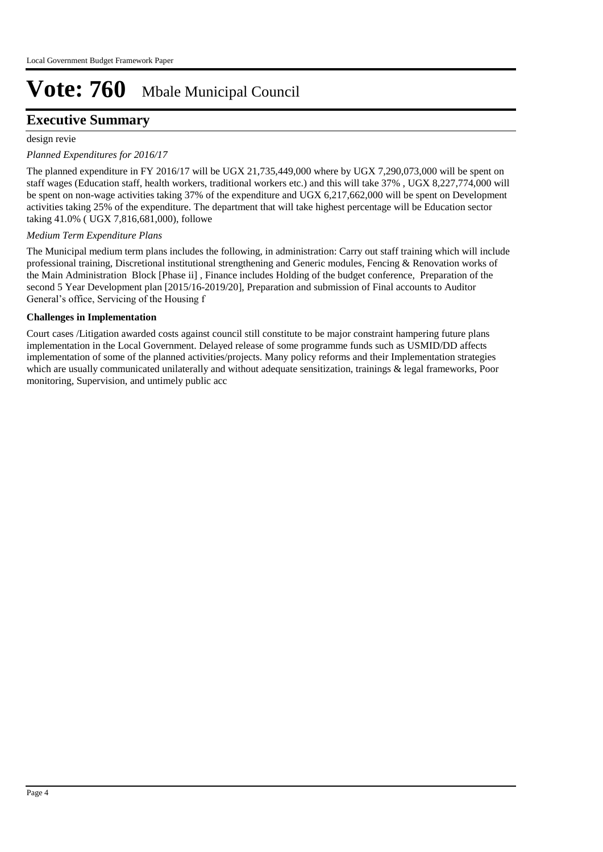### **Executive Summary**

#### design revie

#### *Planned Expenditures for 2016/17*

The planned expenditure in FY 2016/17 will be UGX 21,735,449,000 where by UGX 7,290,073,000 will be spent on staff wages (Education staff, health workers, traditional workers etc.) and this will take 37% , UGX 8,227,774,000 will be spent on non-wage activities taking 37% of the expenditure and UGX 6,217,662,000 will be spent on Development activities taking 25% of the expenditure. The department that will take highest percentage will be Education sector taking 41.0% ( UGX 7,816,681,000), followe

#### *Medium Term Expenditure Plans*

The Municipal medium term plans includes the following, in administration: Carry out staff training which will include professional training, Discretional institutional strengthening and Generic modules, Fencing & Renovation works of the Main Administration Block [Phase ii] , Finance includes Holding of the budget conference, Preparation of the second 5 Year Development plan [2015/16-2019/20], Preparation and submission of Final accounts to Auditor General's office, Servicing of the Housing f

#### **Challenges in Implementation**

Court cases /Litigation awarded costs against council still constitute to be major constraint hampering future plans implementation in the Local Government. Delayed release of some programme funds such as USMID/DD affects implementation of some of the planned activities/projects. Many policy reforms and their Implementation strategies which are usually communicated unilaterally and without adequate sensitization, trainings & legal frameworks, Poor monitoring, Supervision, and untimely public acc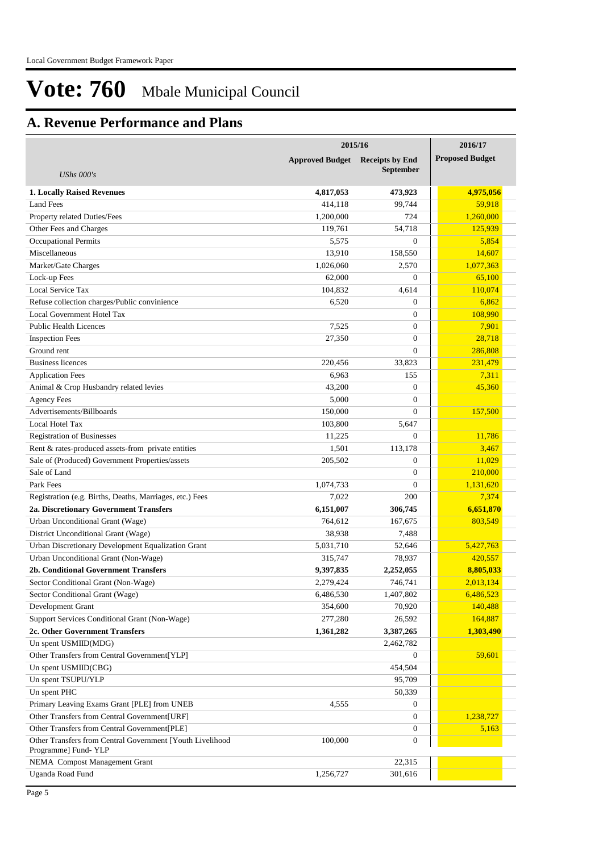## **A. Revenue Performance and Plans**

|                                                                                  | 2015/16                | 2016/17                                    |                        |
|----------------------------------------------------------------------------------|------------------------|--------------------------------------------|------------------------|
| UShs $000's$                                                                     | <b>Approved Budget</b> | <b>Receipts by End</b><br><b>September</b> | <b>Proposed Budget</b> |
| <b>1. Locally Raised Revenues</b>                                                | 4,817,053              | 473,923                                    | 4,975,056              |
| <b>Land Fees</b>                                                                 | 414,118                | 99,744                                     | 59,918                 |
| Property related Duties/Fees                                                     | 1,200,000              | 724                                        | 1,260,000              |
| Other Fees and Charges                                                           | 119,761                | 54,718                                     | 125,939                |
| <b>Occupational Permits</b>                                                      | 5,575                  | $\overline{0}$                             | 5,854                  |
| Miscellaneous                                                                    | 13,910                 | 158,550                                    | 14,607                 |
| Market/Gate Charges                                                              | 1,026,060              | 2,570                                      | 1,077,363              |
| Lock-up Fees                                                                     | 62,000                 | $\Omega$                                   | 65,100                 |
| Local Service Tax                                                                | 104,832                | 4,614                                      | 110,074                |
| Refuse collection charges/Public convinience                                     | 6,520                  | $\Omega$                                   | 6,862                  |
| Local Government Hotel Tax                                                       |                        | $\overline{0}$                             | 108,990                |
| <b>Public Health Licences</b>                                                    | 7,525                  | $\overline{0}$                             | 7,901                  |
| <b>Inspection Fees</b>                                                           | 27,350                 | $\mathbf{0}$                               | 28,718                 |
| Ground rent                                                                      |                        | $\overline{0}$                             | 286,808                |
| <b>Business licences</b>                                                         | 220.456                | 33,823                                     | 231,479                |
| <b>Application Fees</b>                                                          | 6,963                  | 155                                        | 7,311                  |
| Animal & Crop Husbandry related levies                                           | 43,200                 | $\overline{0}$                             | 45,360                 |
| <b>Agency Fees</b>                                                               | 5,000                  | $\overline{0}$                             |                        |
| Advertisements/Billboards                                                        | 150,000                | $\mathbf{0}$                               | 157,500                |
| Local Hotel Tax                                                                  | 103,800                |                                            |                        |
|                                                                                  | 11,225                 | 5,647<br>$\mathbf{0}$                      | 11,786                 |
| <b>Registration of Businesses</b>                                                | 1,501                  | 113,178                                    | 3,467                  |
| Rent & rates-produced assets-from private entities                               | 205,502                | $\overline{0}$                             | 11,029                 |
| Sale of (Produced) Government Properties/assets<br>Sale of Land                  |                        | $\overline{0}$                             | 210,000                |
| Park Fees                                                                        | 1,074,733              | $\overline{0}$                             | 1,131,620              |
| Registration (e.g. Births, Deaths, Marriages, etc.) Fees                         | 7,022                  | 200                                        | 7,374                  |
|                                                                                  | 6,151,007              |                                            | 6,651,870              |
| 2a. Discretionary Government Transfers                                           | 764,612                | 306,745                                    | 803,549                |
| Urban Unconditional Grant (Wage)<br>District Unconditional Grant (Wage)          |                        | 167,675<br>7,488                           |                        |
| Urban Discretionary Development Equalization Grant                               | 38,938<br>5,031,710    |                                            | 5,427,763              |
|                                                                                  |                        | 52,646                                     | 420,557                |
| Urban Unconditional Grant (Non-Wage)                                             | 315,747                | 78,937                                     |                        |
| <b>2b. Conditional Government Transfers</b>                                      | 9,397,835              | 2,252,055                                  | 8,805,033<br>2,013,134 |
| Sector Conditional Grant (Non-Wage)<br>Sector Conditional Grant (Wage)           | 2,279,424              | 746,741                                    |                        |
|                                                                                  | 6,486,530              | 1,407,802                                  | 6,486,523              |
| Development Grant                                                                | 354,600                | 70,920                                     | 140,488                |
| Support Services Conditional Grant (Non-Wage)                                    | 277,280                | 26,592                                     | 164,887                |
| 2c. Other Government Transfers                                                   | 1,361,282              | 3,387,265                                  | 1,303,490              |
| Un spent USMIID(MDG)                                                             |                        | 2,462,782                                  |                        |
| Other Transfers from Central Government[YLP]                                     |                        | $\boldsymbol{0}$                           | 59,601                 |
| Un spent USMIID(CBG)                                                             |                        | 454,504                                    |                        |
| Un spent TSUPU/YLP                                                               |                        | 95,709                                     |                        |
| Un spent PHC                                                                     |                        | 50,339                                     |                        |
| Primary Leaving Exams Grant [PLE] from UNEB                                      | 4,555                  | $\mathbf{0}$                               |                        |
| Other Transfers from Central Government[URF]                                     |                        | $\mathbf{0}$                               | 1,238,727              |
| Other Transfers from Central Government[PLE]                                     |                        | $\boldsymbol{0}$                           | 5,163                  |
| Other Transfers from Central Government [Youth Livelihood<br>Programme] Fund-YLP | 100,000                | $\mathbf{0}$                               |                        |
| NEMA Compost Management Grant                                                    |                        | 22,315                                     |                        |
| Uganda Road Fund                                                                 | 1,256,727              | 301,616                                    |                        |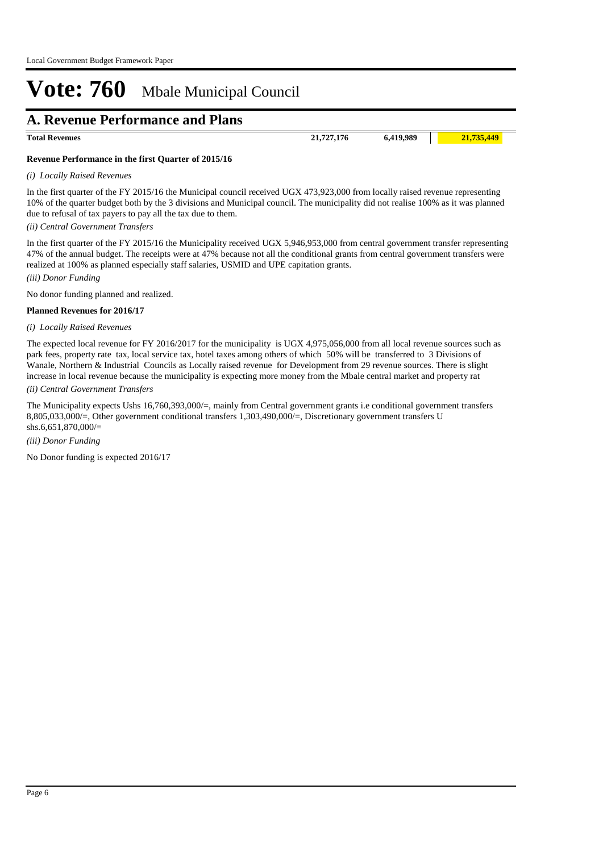### **A. Revenue Performance and Plans**

**Total Revenues 21,727,176 6,419,989 21,735,449**

#### **Revenue Performance in the first Quarter of 2015/16**

*(i) Locally Raised Revenues* 

In the first quarter of the FY 2015/16 the Municipal council received UGX 473,923,000 from locally raised revenue representing 10% of the quarter budget both by the 3 divisions and Municipal council. The municipality did not realise 100% as it was planned due to refusal of tax payers to pay all the tax due to them.

*(ii) Central Government Transfers*

In the first quarter of the FY 2015/16 the Municipality received UGX 5,946,953,000 from central government transfer representing 47% of the annual budget. The receipts were at 47% because not all the conditional grants from central government transfers were realized at 100% as planned especially staff salaries, USMID and UPE capitation grants.

*(iii) Donor Funding*

No donor funding planned and realized.

#### **Planned Revenues for 2016/17**

#### *(i) Locally Raised Revenues*

*(ii) Central Government Transfers* The expected local revenue for FY 2016/2017 for the municipality is UGX 4,975,056,000 from all local revenue sources such as park fees, property rate tax, local service tax, hotel taxes among others of which 50% will be transferred to 3 Divisions of Wanale, Northern & Industrial Councils as Locally raised revenue for Development from 29 revenue sources. There is slight increase in local revenue because the municipality is expecting more money from the Mbale central market and property rat

The Municipality expects Ushs 16,760,393,000/=, mainly from Central government grants i.e conditional government transfers 8,805,033,000/=, Other government conditional transfers 1,303,490,000/=, Discretionary government transfers U shs.6,651,870,000/=

*(iii) Donor Funding*

No Donor funding is expected 2016/17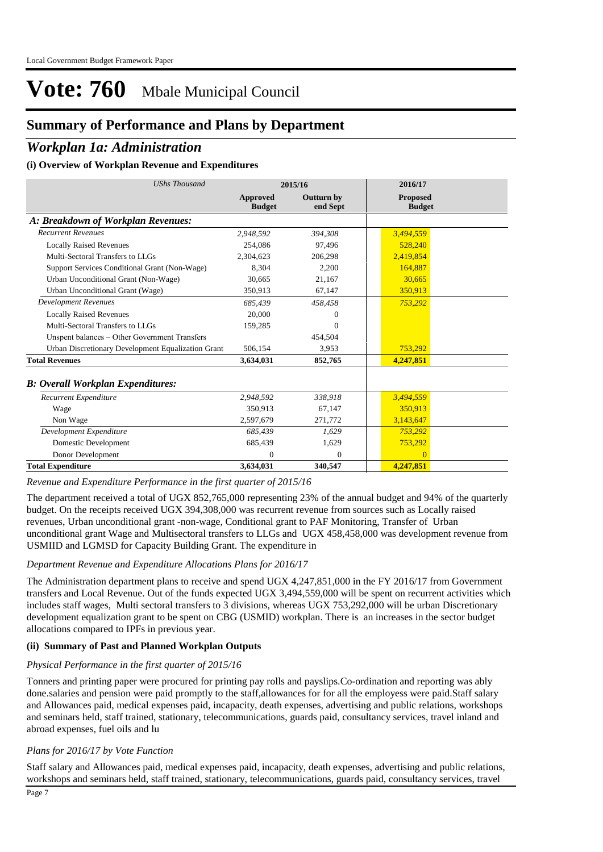### **Summary of Performance and Plans by Department**

### *Workplan 1a: Administration*

#### **(i) Overview of Workplan Revenue and Expenditures**

| <b>UShs Thousand</b>                               |                                  | 2015/16                       | 2016/17                          |
|----------------------------------------------------|----------------------------------|-------------------------------|----------------------------------|
|                                                    | <b>Approved</b><br><b>Budget</b> | <b>Outturn by</b><br>end Sept | <b>Proposed</b><br><b>Budget</b> |
| A: Breakdown of Workplan Revenues:                 |                                  |                               |                                  |
| <b>Recurrent Revenues</b>                          | 2,948,592                        | 394,308                       | 3,494,559                        |
| <b>Locally Raised Revenues</b>                     | 254,086                          | 97,496                        | 528,240                          |
| Multi-Sectoral Transfers to LLGs                   | 2.304.623                        | 206.298                       | 2.419.854                        |
| Support Services Conditional Grant (Non-Wage)      | 8,304                            | 2,200                         | 164,887                          |
| Urban Unconditional Grant (Non-Wage)               | 30,665                           | 21,167                        | 30,665                           |
| Urban Unconditional Grant (Wage)                   | 350,913                          | 67,147                        | 350,913                          |
| <b>Development Revenues</b>                        | 685,439                          | 458,458                       | 753,292                          |
| <b>Locally Raised Revenues</b>                     | 20,000                           | 0                             |                                  |
| Multi-Sectoral Transfers to LLGs                   | 159,285                          | $\Omega$                      |                                  |
| Unspent balances – Other Government Transfers      |                                  | 454,504                       |                                  |
| Urban Discretionary Development Equalization Grant | 506.154                          | 3.953                         | 753,292                          |
| <b>Total Revenues</b>                              | 3,634,031                        | 852,765                       | 4,247,851                        |
| <b>B: Overall Workplan Expenditures:</b>           |                                  |                               |                                  |
| Recurrent Expenditure                              | 2,948,592                        | 338,918                       | 3,494,559                        |
| Wage                                               | 350.913                          | 67,147                        | 350.913                          |
| Non Wage                                           | 2,597,679                        | 271,772                       | 3,143,647                        |
| Development Expenditure                            | 685,439                          | 1.629                         | 753,292                          |
| Domestic Development                               | 685,439                          | 1,629                         | 753,292                          |
| Donor Development                                  | $\mathbf{0}$                     | $\overline{0}$                | $\overline{0}$                   |
| <b>Total Expenditure</b>                           | 3,634,031                        | 340,547                       | 4,247,851                        |

*Revenue and Expenditure Performance in the first quarter of 2015/16*

The department received a total of UGX 852,765,000 representing 23% of the annual budget and 94% of the quarterly budget. On the receipts received UGX 394,308,000 was recurrent revenue from sources such as Locally raised revenues, Urban unconditional grant -non-wage, Conditional grant to PAF Monitoring, Transfer of Urban unconditional grant Wage and Multisectoral transfers to LLGs and UGX 458,458,000 was development revenue from USMIID and LGMSD for Capacity Building Grant. The expenditure in

#### *Department Revenue and Expenditure Allocations Plans for 2016/17*

The Administration department plans to receive and spend UGX 4,247,851,000 in the FY 2016/17 from Government transfers and Local Revenue. Out of the funds expected UGX 3,494,559,000 will be spent on recurrent activities which includes staff wages, Multi sectoral transfers to 3 divisions, whereas UGX 753,292,000 will be urban Discretionary development equalization grant to be spent on CBG (USMID) workplan. There is an increases in the sector budget allocations compared to IPFs in previous year.

#### **(ii) Summary of Past and Planned Workplan Outputs**

#### *Physical Performance in the first quarter of 2015/16*

Tonners and printing paper were procured for printing pay rolls and payslips.Co-ordination and reporting was ably done.salaries and pension were paid promptly to the staff,allowances for for all the employess were paid.Staff salary and Allowances paid, medical expenses paid, incapacity, death expenses, advertising and public relations, workshops and seminars held, staff trained, stationary, telecommunications, guards paid, consultancy services, travel inland and abroad expenses, fuel oils and lu

#### *Plans for 2016/17 by Vote Function*

Staff salary and Allowances paid, medical expenses paid, incapacity, death expenses, advertising and public relations, workshops and seminars held, staff trained, stationary, telecommunications, guards paid, consultancy services, travel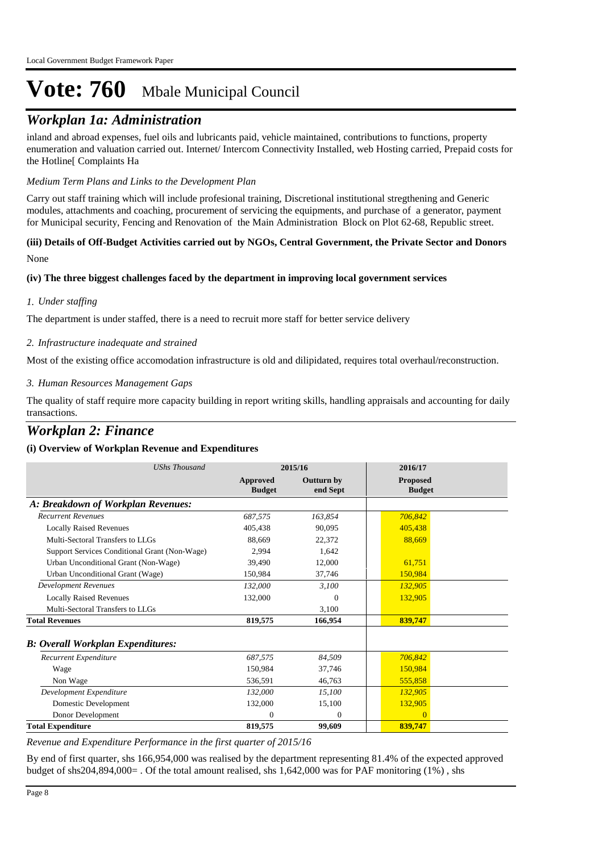### *Workplan 1a: Administration*

inland and abroad expenses, fuel oils and lubricants paid, vehicle maintained, contributions to functions, property enumeration and valuation carried out. Internet/ Intercom Connectivity Installed, web Hosting carried, Prepaid costs for the Hotline[ Complaints Ha

#### *Medium Term Plans and Links to the Development Plan*

Carry out staff training which will include profesional training, Discretional institutional stregthening and Generic modules, attachments and coaching, procurement of servicing the equipments, and purchase of a generator, payment for Municipal security, Fencing and Renovation of the Main Administration Block on Plot 62-68, Republic street.

#### None **(iii) Details of Off-Budget Activities carried out by NGOs, Central Government, the Private Sector and Donors**

#### **(iv) The three biggest challenges faced by the department in improving local government services**

#### *Under staffing 1.*

The department is under staffed, there is a need to recruit more staff for better service delivery

#### *Infrastructure inadequate and strained 2.*

Most of the existing office accomodation infrastructure is old and dilipidated, requires total overhaul/reconstruction.

#### *Human Resources Management Gaps 3.*

The quality of staff require more capacity building in report writing skills, handling appraisals and accounting for daily transactions.

### *Workplan 2: Finance*

#### **(i) Overview of Workplan Revenue and Expenditures**

| <b>UShs Thousand</b>                          | 2015/16                   |                               | 2016/17                          |  |  |
|-----------------------------------------------|---------------------------|-------------------------------|----------------------------------|--|--|
|                                               | Approved<br><b>Budget</b> | <b>Outturn by</b><br>end Sept | <b>Proposed</b><br><b>Budget</b> |  |  |
| A: Breakdown of Workplan Revenues:            |                           |                               |                                  |  |  |
| <b>Recurrent Revenues</b>                     | 687,575                   | 163,854                       | 706,842                          |  |  |
| <b>Locally Raised Revenues</b>                | 405.438                   | 90.095                        | 405,438                          |  |  |
| Multi-Sectoral Transfers to LLGs              | 88.669                    | 22,372                        | 88,669                           |  |  |
| Support Services Conditional Grant (Non-Wage) | 2,994                     | 1,642                         |                                  |  |  |
| Urban Unconditional Grant (Non-Wage)          | 39.490                    | 12,000                        | 61,751                           |  |  |
| Urban Unconditional Grant (Wage)              | 150,984                   | 37,746                        | 150,984                          |  |  |
| <b>Development Revenues</b>                   | 132,000                   | 3,100                         | 132,905                          |  |  |
| <b>Locally Raised Revenues</b>                | 132,000                   | $\mathbf{0}$                  | 132,905                          |  |  |
| Multi-Sectoral Transfers to LLGs              |                           | 3,100                         |                                  |  |  |
| <b>Total Revenues</b>                         | 819,575                   | 166,954                       | 839,747                          |  |  |
| <b>B</b> : Overall Workplan Expenditures:     |                           |                               |                                  |  |  |
| Recurrent Expenditure                         | 687,575                   | 84,509                        | 706,842                          |  |  |
| Wage                                          | 150,984                   | 37,746                        | 150,984                          |  |  |
| Non Wage                                      | 536,591                   | 46,763                        | 555,858                          |  |  |
| Development Expenditure                       | 132,000                   | 15,100                        | 132,905                          |  |  |
| Domestic Development                          | 132,000                   | 15,100                        | 132,905                          |  |  |
| Donor Development                             | $\Omega$                  | $\theta$                      | $\Omega$                         |  |  |
| <b>Total Expenditure</b>                      | 819,575                   | 99,609                        | 839,747                          |  |  |

*Revenue and Expenditure Performance in the first quarter of 2015/16*

By end of first quarter, shs 166,954,000 was realised by the department representing 81.4% of the expected approved budget of shs204,894,000= . Of the total amount realised, shs 1,642,000 was for PAF monitoring (1%) , shs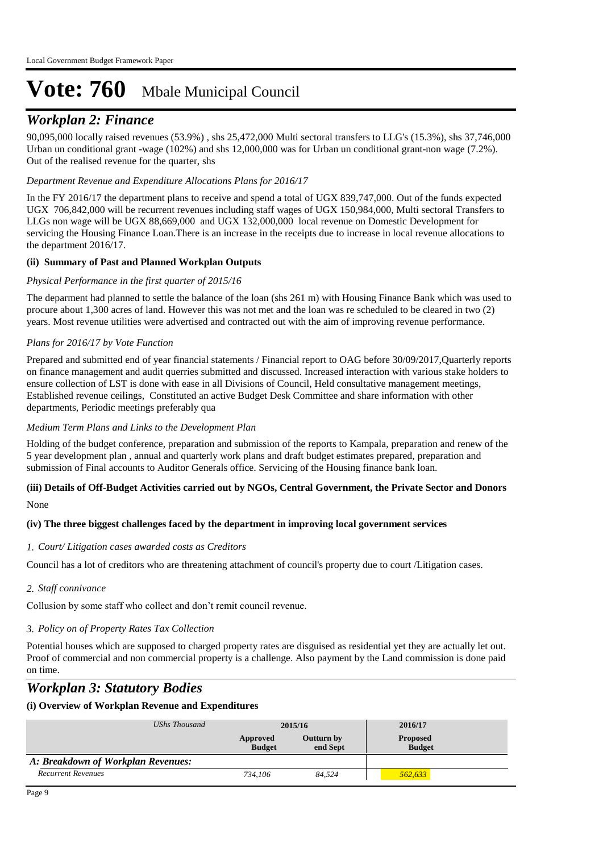## *Workplan 2: Finance*

90,095,000 locally raised revenues (53.9%) , shs 25,472,000 Multi sectoral transfers to LLG's (15.3%), shs 37,746,000 Urban un conditional grant -wage (102%) and shs 12,000,000 was for Urban un conditional grant-non wage (7.2%). Out of the realised revenue for the quarter, shs

#### *Department Revenue and Expenditure Allocations Plans for 2016/17*

In the FY 2016/17 the department plans to receive and spend a total of UGX 839,747,000. Out of the funds expected UGX 706,842,000 will be recurrent revenues including staff wages of UGX 150,984,000, Multi sectoral Transfers to LLGs non wage will be UGX 88,669,000 and UGX 132,000,000 local revenue on Domestic Development for servicing the Housing Finance Loan.There is an increase in the receipts due to increase in local revenue allocations to the department 2016/17.

#### **(ii) Summary of Past and Planned Workplan Outputs**

#### *Physical Performance in the first quarter of 2015/16*

The deparment had planned to settle the balance of the loan (shs 261 m) with Housing Finance Bank which was used to procure about 1,300 acres of land. However this was not met and the loan was re scheduled to be cleared in two (2) years. Most revenue utilities were advertised and contracted out with the aim of improving revenue performance.

#### *Plans for 2016/17 by Vote Function*

Prepared and submitted end of year financial statements / Financial report to OAG before 30/09/2017,Quarterly reports on finance management and audit querries submitted and discussed. Increased interaction with various stake holders to ensure collection of LST is done with ease in all Divisions of Council, Held consultative management meetings, Established revenue ceilings, Constituted an active Budget Desk Committee and share information with other departments, Periodic meetings preferably qua

#### *Medium Term Plans and Links to the Development Plan*

Holding of the budget conference, preparation and submission of the reports to Kampala, preparation and renew of the 5 year development plan , annual and quarterly work plans and draft budget estimates prepared, preparation and submission of Final accounts to Auditor Generals office. Servicing of the Housing finance bank loan.

#### None **(iii) Details of Off-Budget Activities carried out by NGOs, Central Government, the Private Sector and Donors**

#### **(iv) The three biggest challenges faced by the department in improving local government services**

#### *Court/ Litigation cases awarded costs as Creditors 1.*

Council has a lot of creditors who are threatening attachment of council's property due to court /Litigation cases.

#### *Staff connivance 2.*

Collusion by some staff who collect and don't remit council revenue.

#### *Policy on of Property Rates Tax Collection 3.*

Potential houses which are supposed to charged property rates are disguised as residential yet they are actually let out. Proof of commercial and non commercial property is a challenge. Also payment by the Land commission is done paid on time.

### *Workplan 3: Statutory Bodies*

#### **(i) Overview of Workplan Revenue and Expenditures**

| UShs Thousand                      |                           | 2015/16                | 2016/17                          |  |
|------------------------------------|---------------------------|------------------------|----------------------------------|--|
|                                    | Approved<br><b>Budget</b> | Outturn by<br>end Sept | <b>Proposed</b><br><b>Budget</b> |  |
| A: Breakdown of Workplan Revenues: |                           |                        |                                  |  |
| <b>Recurrent Revenues</b>          | 734.106                   | 84.524                 | 562,633                          |  |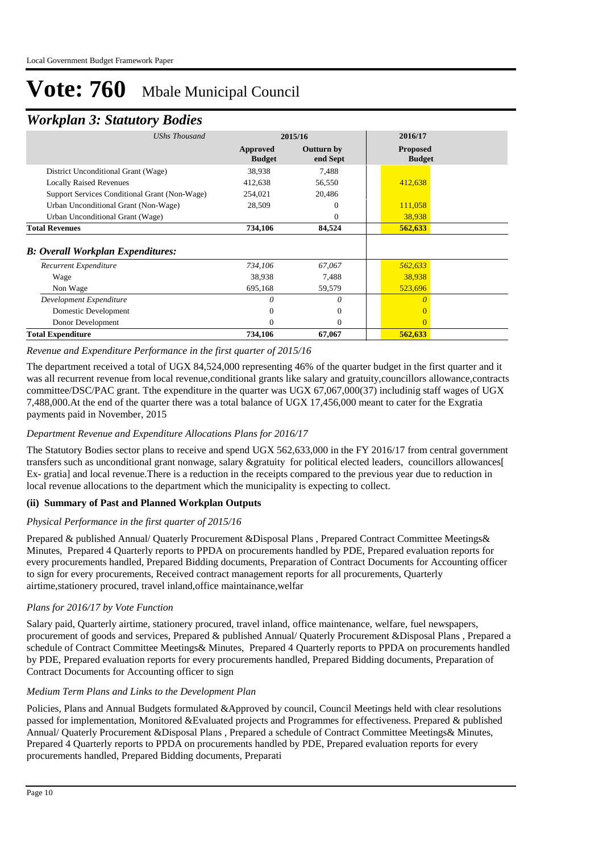### *Workplan 3: Statutory Bodies*

| <b>UShs Thousand</b>                          |                           | 2015/16                       | 2016/17                          |
|-----------------------------------------------|---------------------------|-------------------------------|----------------------------------|
|                                               | Approved<br><b>Budget</b> | <b>Outturn by</b><br>end Sept | <b>Proposed</b><br><b>Budget</b> |
| District Unconditional Grant (Wage)           | 38,938                    | 7,488                         |                                  |
| <b>Locally Raised Revenues</b>                | 412,638                   | 56,550                        | 412,638                          |
| Support Services Conditional Grant (Non-Wage) | 254,021                   | 20,486                        |                                  |
| Urban Unconditional Grant (Non-Wage)          | 28,509                    | 0                             | 111,058                          |
| Urban Unconditional Grant (Wage)              |                           | 0                             | 38,938                           |
| <b>Total Revenues</b>                         | 734,106                   | 84,524                        | 562,633                          |
| <b>B: Overall Workplan Expenditures:</b>      |                           |                               |                                  |
| Recurrent Expenditure                         | 734,106                   | 67,067                        | 562,633                          |
| Wage                                          | 38,938                    | 7,488                         | 38,938                           |
| Non Wage                                      | 695,168                   | 59,579                        | 523,696                          |
| Development Expenditure                       | 0                         | 0                             |                                  |
| Domestic Development                          | 0                         | $\Omega$                      |                                  |
| Donor Development                             | 0                         | $\Omega$                      |                                  |
| <b>Total Expenditure</b>                      | 734,106                   | 67,067                        | 562,633                          |

#### *Revenue and Expenditure Performance in the first quarter of 2015/16*

The department received a total of UGX 84,524,000 representing 46% of the quarter budget in the first quarter and it was all recurrent revenue from local revenue,conditional grants like salary and gratuity,councillors allowance,contracts committee/DSC/PAC grant. Tthe expenditure in the quarter was UGX 67,067,000(37) includinig staff wages of UGX 7,488,000.At the end of the quarter there was a total balance of UGX 17,456,000 meant to cater for the Exgratia payments paid in November, 2015

#### *Department Revenue and Expenditure Allocations Plans for 2016/17*

The Statutory Bodies sector plans to receive and spend UGX 562,633,000 in the FY 2016/17 from central government transfers such as unconditional grant nonwage, salary &gratuity for political elected leaders, councillors allowances[ Ex- gratia] and local revenue.There is a reduction in the receipts compared to the previous year due to reduction in local revenue allocations to the department which the municipality is expecting to collect.

#### **(ii) Summary of Past and Planned Workplan Outputs**

#### *Physical Performance in the first quarter of 2015/16*

Prepared & published Annual/ Quaterly Procurement &Disposal Plans , Prepared Contract Committee Meetings& Minutes, Prepared 4 Quarterly reports to PPDA on procurements handled by PDE, Prepared evaluation reports for every procurements handled, Prepared Bidding documents, Preparation of Contract Documents for Accounting officer to sign for every procurements, Received contract management reports for all procurements, Quarterly airtime,stationery procured, travel inland,office maintainance,welfar

#### *Plans for 2016/17 by Vote Function*

Salary paid, Quarterly airtime, stationery procured, travel inland, office maintenance, welfare, fuel newspapers, procurement of goods and services, Prepared & published Annual/ Quaterly Procurement &Disposal Plans , Prepared a schedule of Contract Committee Meetings& Minutes, Prepared 4 Quarterly reports to PPDA on procurements handled by PDE, Prepared evaluation reports for every procurements handled, Prepared Bidding documents, Preparation of Contract Documents for Accounting officer to sign

#### *Medium Term Plans and Links to the Development Plan*

Policies, Plans and Annual Budgets formulated &Approved by council, Council Meetings held with clear resolutions passed for implementation, Monitored &Evaluated projects and Programmes for effectiveness. Prepared & published Annual/ Quaterly Procurement &Disposal Plans , Prepared a schedule of Contract Committee Meetings& Minutes, Prepared 4 Quarterly reports to PPDA on procurements handled by PDE, Prepared evaluation reports for every procurements handled, Prepared Bidding documents, Preparati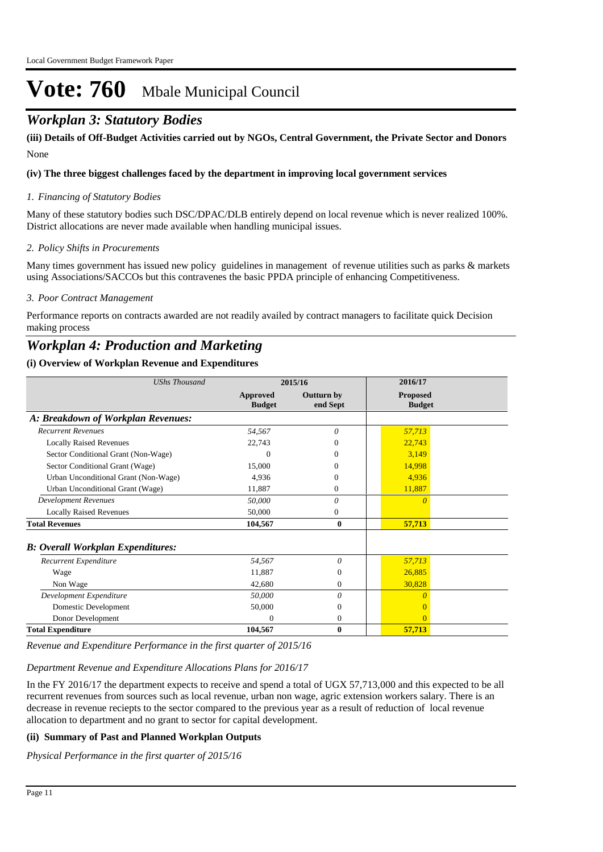## *Workplan 3: Statutory Bodies*

None **(iii) Details of Off-Budget Activities carried out by NGOs, Central Government, the Private Sector and Donors** 

#### **(iv) The three biggest challenges faced by the department in improving local government services**

#### *Financing of Statutory Bodies 1.*

Many of these statutory bodies such DSC/DPAC/DLB entirely depend on local revenue which is never realized 100%. District allocations are never made available when handling municipal issues.

#### *Policy Shifts in Procurements 2.*

Many times government has issued new policy guidelines in management of revenue utilities such as parks & markets using Associations/SACCOs but this contravenes the basic PPDA principle of enhancing Competitiveness.

#### *Poor Contract Management 3.*

Performance reports on contracts awarded are not readily availed by contract managers to facilitate quick Decision making process

### *Workplan 4: Production and Marketing*

#### **(i) Overview of Workplan Revenue and Expenditures**

| <b>UShs Thousand</b>                     | 2015/16                   |                               | 2016/17                          |
|------------------------------------------|---------------------------|-------------------------------|----------------------------------|
|                                          | Approved<br><b>Budget</b> | <b>Outturn by</b><br>end Sept | <b>Proposed</b><br><b>Budget</b> |
| A: Breakdown of Workplan Revenues:       |                           |                               |                                  |
| <b>Recurrent Revenues</b>                | 54,567                    | 0                             | 57,713                           |
| <b>Locally Raised Revenues</b>           | 22,743                    | 0                             | 22,743                           |
| Sector Conditional Grant (Non-Wage)      | $\Omega$                  | 0                             | 3,149                            |
| Sector Conditional Grant (Wage)          | 15,000                    | 0                             | 14,998                           |
| Urban Unconditional Grant (Non-Wage)     | 4.936                     | 0                             | 4,936                            |
| Urban Unconditional Grant (Wage)         | 11,887                    | $\mathbf{0}$                  | 11,887                           |
| <b>Development Revenues</b>              | 50,000                    | 0                             | $\Omega$                         |
| <b>Locally Raised Revenues</b>           | 50,000                    | 0                             |                                  |
| <b>Total Revenues</b>                    | 104,567                   | $\bf{0}$                      | 57,713                           |
| <b>B: Overall Workplan Expenditures:</b> |                           |                               |                                  |
| Recurrent Expenditure                    | 54,567                    | 0                             | 57,713                           |
| Wage                                     | 11,887                    | $\overline{0}$                | 26,885                           |
| Non Wage                                 | 42,680                    | $\mathbf{0}$                  | 30,828                           |
| Development Expenditure                  | 50,000                    | $\theta$                      |                                  |
| Domestic Development                     | 50,000                    | $\overline{0}$                |                                  |
| Donor Development                        | $\Omega$                  | $\mathbf{0}$                  | $\theta$                         |
| <b>Total Expenditure</b>                 | 104,567                   | $\bf{0}$                      | 57,713                           |

*Revenue and Expenditure Performance in the first quarter of 2015/16*

#### *Department Revenue and Expenditure Allocations Plans for 2016/17*

In the FY 2016/17 the department expects to receive and spend a total of UGX 57,713,000 and this expected to be all recurrent revenues from sources such as local revenue, urban non wage, agric extension workers salary. There is an decrease in revenue reciepts to the sector compared to the previous year as a result of reduction of local revenue allocation to department and no grant to sector for capital development.

#### **(ii) Summary of Past and Planned Workplan Outputs**

*Physical Performance in the first quarter of 2015/16*

*Plans for 2016/17 by Vote Function*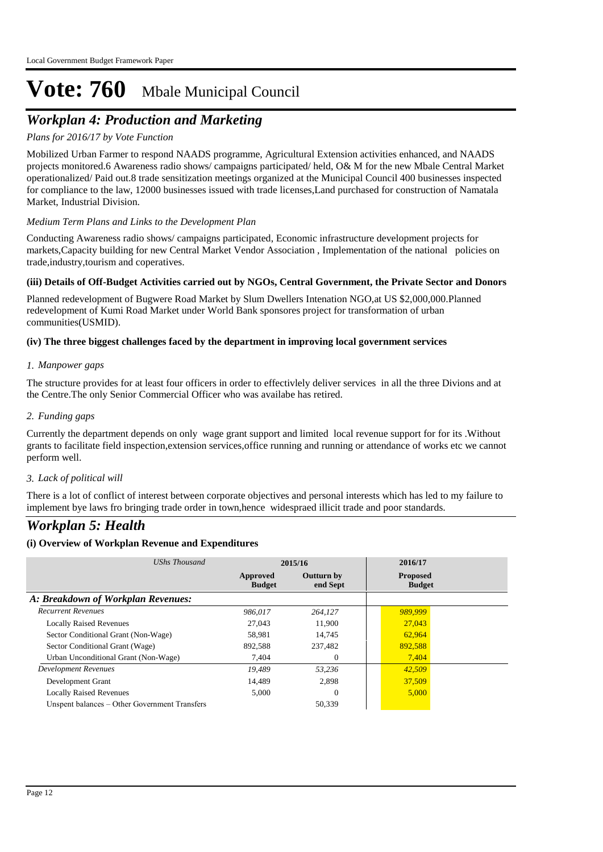## *Workplan 4: Production and Marketing*

#### *Plans for 2016/17 by Vote Function*

Mobilized Urban Farmer to respond NAADS programme, Agricultural Extension activities enhanced, and NAADS projects monitored.6 Awareness radio shows/ campaigns participated/ held, O& M for the new Mbale Central Market operationalized/ Paid out.8 trade sensitization meetings organized at the Municipal Council 400 businesses inspected for compliance to the law, 12000 businesses issued with trade licenses,Land purchased for construction of Namatala Market, Industrial Division.

#### *Medium Term Plans and Links to the Development Plan*

Conducting Awareness radio shows/ campaigns participated, Economic infrastructure development projects for markets,Capacity building for new Central Market Vendor Association , Implementation of the national policies on trade,industry,tourism and coperatives.

#### **(iii) Details of Off-Budget Activities carried out by NGOs, Central Government, the Private Sector and Donors**

Planned redevelopment of Bugwere Road Market by Slum Dwellers Intenation NGO,at US \$2,000,000.Planned redevelopment of Kumi Road Market under World Bank sponsores project for transformation of urban communities(USMID).

#### **(iv) The three biggest challenges faced by the department in improving local government services**

#### *Manpower gaps 1.*

The structure provides for at least four officers in order to effectivlely deliver services in all the three Divions and at the Centre.The only Senior Commercial Officer who was availabe has retired.

#### *Funding gaps 2.*

Currently the department depends on only wage grant support and limited local revenue support for for its .Without grants to facilitate field inspection,extension services,office running and running or attendance of works etc we cannot perform well.

#### *Lack of political will 3.*

There is a lot of conflict of interest between corporate objectives and personal interests which has led to my failure to implement bye laws fro bringing trade order in town,hence widespraed illicit trade and poor standards.

### *Workplan 5: Health*

#### **(i) Overview of Workplan Revenue and Expenditures**

| UShs Thousand                                 | 2015/16                   |                        | 2016/17                          |  |
|-----------------------------------------------|---------------------------|------------------------|----------------------------------|--|
|                                               | Approved<br><b>Budget</b> | Outturn by<br>end Sept | <b>Proposed</b><br><b>Budget</b> |  |
| A: Breakdown of Workplan Revenues:            |                           |                        |                                  |  |
| <b>Recurrent Revenues</b>                     | 986.017                   | 264.127                | 989,999                          |  |
| <b>Locally Raised Revenues</b>                | 27,043                    | 11,900                 | 27,043                           |  |
| Sector Conditional Grant (Non-Wage)           | 58,981                    | 14.745                 | 62,964                           |  |
| Sector Conditional Grant (Wage)               | 892,588                   | 237,482                | 892,588                          |  |
| Urban Unconditional Grant (Non-Wage)          | 7.404                     | $\Omega$               | 7,404                            |  |
| Development Revenues                          | 19.489                    | 53.236                 | 42,509                           |  |
| Development Grant                             | 14,489                    | 2,898                  | 37,509                           |  |
| <b>Locally Raised Revenues</b>                | 5,000                     | $\Omega$               | 5,000                            |  |
| Unspent balances – Other Government Transfers |                           | 50.339                 |                                  |  |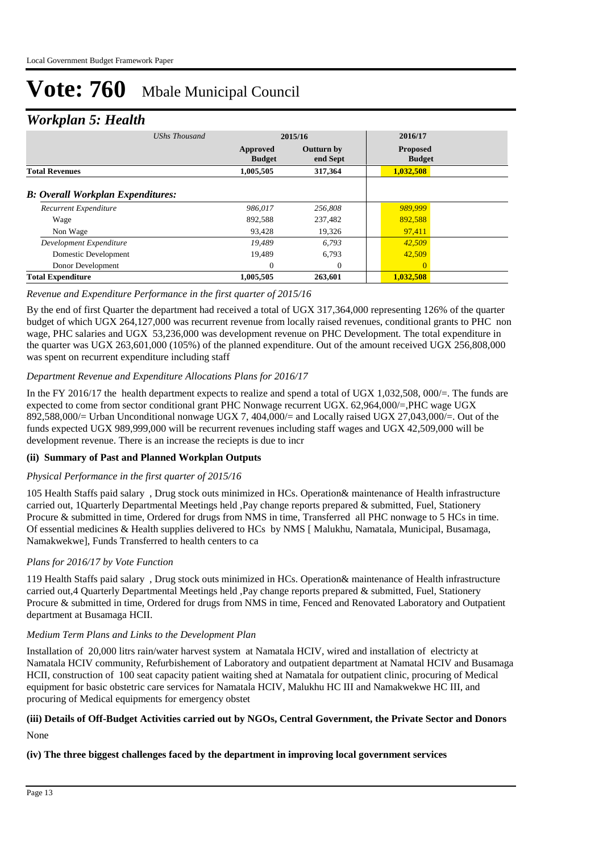### *Workplan 5: Health*

| -<br>UShs Thousand                       |                           | 2015/16                       |                                  |  |
|------------------------------------------|---------------------------|-------------------------------|----------------------------------|--|
|                                          | Approved<br><b>Budget</b> | <b>Outturn by</b><br>end Sept | <b>Proposed</b><br><b>Budget</b> |  |
| <b>Total Revenues</b>                    | 1,005,505                 | 317,364                       | 1,032,508                        |  |
| <b>B: Overall Workplan Expenditures:</b> |                           |                               |                                  |  |
| Recurrent Expenditure                    | 986.017                   | 256,808                       | 989,999                          |  |
| Wage                                     | 892,588                   | 237,482                       | 892,588                          |  |
| Non Wage                                 | 93.428                    | 19.326                        | 97,411                           |  |
| Development Expenditure                  | 19.489                    | 6.793                         | 42,509                           |  |
| Domestic Development                     | 19,489                    | 6,793                         | 42,509                           |  |
| Donor Development                        | $\Omega$                  | $\overline{0}$                | $\Omega$                         |  |
| <b>Total Expenditure</b>                 | 1,005,505                 | 263,601                       | 1,032,508                        |  |

#### *Revenue and Expenditure Performance in the first quarter of 2015/16*

By the end of first Quarter the department had received a total of UGX 317,364,000 representing 126% of the quarter budget of which UGX 264,127,000 was recurrent revenue from locally raised revenues, conditional grants to PHC non wage, PHC salaries and UGX 53,236,000 was development revenue on PHC Development. The total expenditure in the quarter was UGX 263,601,000 (105%) of the planned expenditure. Out of the amount received UGX 256,808,000 was spent on recurrent expenditure including staff

#### *Department Revenue and Expenditure Allocations Plans for 2016/17*

In the FY 2016/17 the health department expects to realize and spend a total of UGX 1,032,508, 000/=. The funds are expected to come from sector conditional grant PHC Nonwage recurrent UGX. 62,964,000/=,PHC wage UGX  $892,588,000/$  Urban Unconditional nonwage UGX 7, 404,000/ = and Locally raised UGX 27,043,000/ =. Out of the funds expected UGX 989,999,000 will be recurrent revenues including staff wages and UGX 42,509,000 will be development revenue. There is an increase the reciepts is due to incr

#### **(ii) Summary of Past and Planned Workplan Outputs**

#### *Physical Performance in the first quarter of 2015/16*

105 Health Staffs paid salary , Drug stock outs minimized in HCs. Operation& maintenance of Health infrastructure carried out, 1Quarterly Departmental Meetings held ,Pay change reports prepared & submitted, Fuel, Stationery Procure & submitted in time, Ordered for drugs from NMS in time, Transferred all PHC nonwage to 5 HCs in time. Of essential medicines & Health supplies delivered to HCs by NMS [ Malukhu, Namatala, Municipal, Busamaga, Namakwekwe], Funds Transferred to health centers to ca

#### *Plans for 2016/17 by Vote Function*

119 Health Staffs paid salary , Drug stock outs minimized in HCs. Operation& maintenance of Health infrastructure carried out,4 Quarterly Departmental Meetings held ,Pay change reports prepared & submitted, Fuel, Stationery Procure & submitted in time, Ordered for drugs from NMS in time, Fenced and Renovated Laboratory and Outpatient department at Busamaga HCII.

#### *Medium Term Plans and Links to the Development Plan*

Installation of 20,000 litrs rain/water harvest system at Namatala HCIV, wired and installation of electricty at Namatala HCIV community, Refurbishement of Laboratory and outpatient department at Namatal HCIV and Busamaga HCII, construction of 100 seat capacity patient waiting shed at Namatala for outpatient clinic, procuring of Medical equipment for basic obstetric care services for Namatala HCIV, Malukhu HC III and Namakwekwe HC III, and procuring of Medical equipments for emergency obstet

## **(iii) Details of Off-Budget Activities carried out by NGOs, Central Government, the Private Sector and Donors**

None

#### **(iv) The three biggest challenges faced by the department in improving local government services**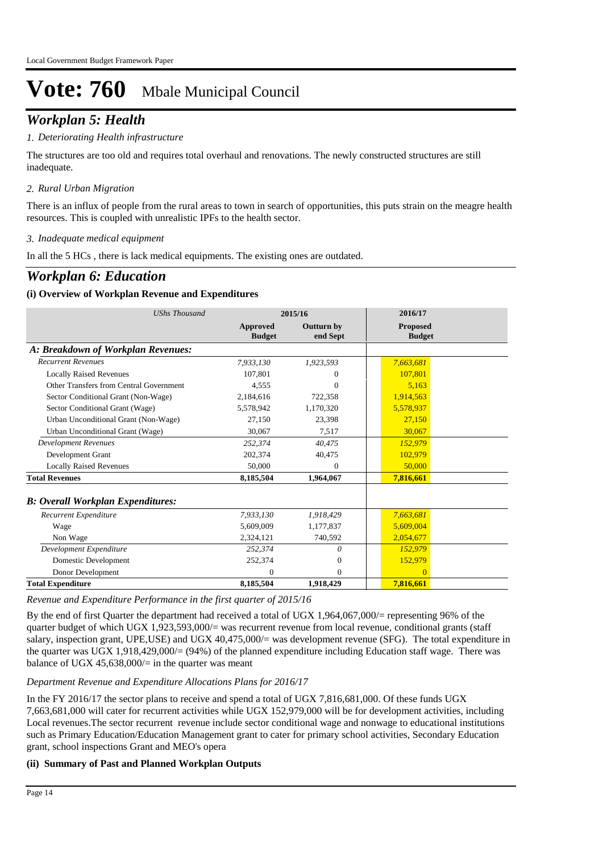### *Workplan 5: Health*

#### *Deteriorating Health infrastructure 1.*

The structures are too old and requires total overhaul and renovations. The newly constructed structures are still inadequate.

#### *Rural Urban Migration 2.*

There is an influx of people from the rural areas to town in search of opportunities, this puts strain on the meagre health resources. This is coupled with unrealistic IPFs to the health sector.

#### *Inadequate medical equipment 3.*

In all the 5 HCs , there is lack medical equipments. The existing ones are outdated.

### *Workplan 6: Education*

#### **(i) Overview of Workplan Revenue and Expenditures**

| <b>UShs Thousand</b>                     |                           | 2015/16                       | 2016/17                   |
|------------------------------------------|---------------------------|-------------------------------|---------------------------|
|                                          | Approved<br><b>Budget</b> | <b>Outturn by</b><br>end Sept | Proposed<br><b>Budget</b> |
| A: Breakdown of Workplan Revenues:       |                           |                               |                           |
| <b>Recurrent Revenues</b>                | 7,933,130                 | 1,923,593                     | 7,663,681                 |
| <b>Locally Raised Revenues</b>           | 107,801                   | 0                             | 107,801                   |
| Other Transfers from Central Government  | 4.555                     | 0                             | 5.163                     |
| Sector Conditional Grant (Non-Wage)      | 2,184,616                 | 722,358                       | 1,914,563                 |
| Sector Conditional Grant (Wage)          | 5,578,942                 | 1,170,320                     | 5,578,937                 |
| Urban Unconditional Grant (Non-Wage)     | 27,150                    | 23,398                        | 27,150                    |
| Urban Unconditional Grant (Wage)         | 30,067                    | 7,517                         | 30,067                    |
| <b>Development Revenues</b>              | 252,374                   | 40.475                        | 152,979                   |
| Development Grant                        | 202,374                   | 40,475                        | 102,979                   |
| <b>Locally Raised Revenues</b>           | 50,000                    | $\Omega$                      | 50,000                    |
| <b>Total Revenues</b>                    | 8,185,504                 | 1,964,067                     | 7,816,661                 |
| <b>B: Overall Workplan Expenditures:</b> |                           |                               |                           |
| <b>Recurrent Expenditure</b>             | 7,933,130                 | 1,918,429                     | 7,663,681                 |
| Wage                                     | 5.609.009                 | 1,177,837                     | 5,609,004                 |
| Non Wage                                 | 2,324,121                 | 740,592                       | 2,054,677                 |
| Development Expenditure                  | 252,374                   | 0                             | 152,979                   |
| Domestic Development                     | 252,374                   | 0                             | 152,979                   |
| Donor Development                        | $\overline{0}$            | $\overline{0}$                | $\overline{0}$            |
| <b>Total Expenditure</b>                 | 8,185,504                 | 1,918,429                     | 7,816,661                 |

*Revenue and Expenditure Performance in the first quarter of 2015/16*

By the end of first Quarter the department had received a total of UGX 1,964,067,000/= representing 96% of the quarter budget of which UGX 1,923,593,000/ $=$  was recurrent revenue from local revenue, conditional grants (staff salary, inspection grant, UPE, USE) and UGX 40,475,000/= was development revenue (SFG). The total expenditure in the quarter was UGX 1,918,429,000/= (94%) of the planned expenditure including Education staff wage. There was balance of UGX  $45,638,000/=$  in the quarter was meant

#### *Department Revenue and Expenditure Allocations Plans for 2016/17*

In the FY 2016/17 the sector plans to receive and spend a total of UGX 7,816,681,000. Of these funds UGX 7,663,681,000 will cater for recurrent activities while UGX 152,979,000 will be for development activities, including Local revenues.The sector recurrent revenue include sector conditional wage and nonwage to educational institutions such as Primary Education/Education Management grant to cater for primary school activities, Secondary Education grant, school inspections Grant and MEO's opera

#### **(ii) Summary of Past and Planned Workplan Outputs**

*Physical Performance in the first quarter of 2015/16*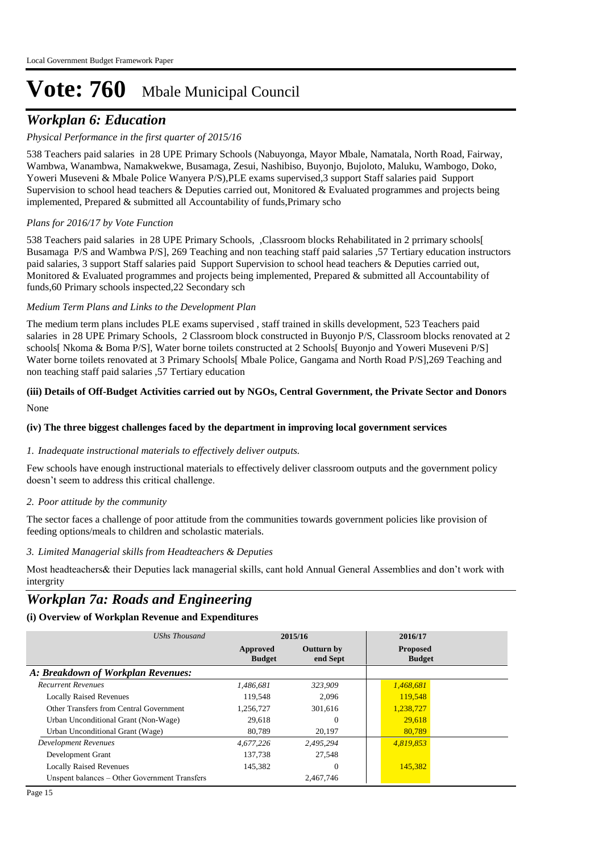### *Workplan 6: Education*

#### *Physical Performance in the first quarter of 2015/16*

538 Teachers paid salaries in 28 UPE Primary Schools (Nabuyonga, Mayor Mbale, Namatala, North Road, Fairway, Wambwa, Wanambwa, Namakwekwe, Busamaga, Zesui, Nashibiso, Buyonjo, Bujoloto, Maluku, Wambogo, Doko, Yoweri Museveni & Mbale Police Wanyera P/S),PLE exams supervised,3 support Staff salaries paid Support Supervision to school head teachers & Deputies carried out, Monitored & Evaluated programmes and projects being implemented, Prepared  $&$  submitted all Accountability of funds, Primary scho

#### *Plans for 2016/17 by Vote Function*

538 Teachers paid salaries in 28 UPE Primary Schools, ,Classroom blocks Rehabilitated in 2 prrimary schools[ Busamaga P/S and Wambwa P/S], 269 Teaching and non teaching staff paid salaries ,57 Tertiary education instructors paid salaries, 3 support Staff salaries paid Support Supervision to school head teachers & Deputies carried out, Monitored & Evaluated programmes and projects being implemented, Prepared & submitted all Accountability of funds,60 Primary schools inspected,22 Secondary sch

#### *Medium Term Plans and Links to the Development Plan*

The medium term plans includes PLE exams supervised , staff trained in skills development, 523 Teachers paid salaries in 28 UPE Primary Schools, 2 Classroom block constructed in Buyonjo P/S, Classroom blocks renovated at 2 schools[ Nkoma & Boma P/S], Water borne toilets constructed at 2 Schools[ Buyonjo and Yoweri Museveni P/S] Water borne toilets renovated at 3 Primary Schools[ Mbale Police, Gangama and North Road P/S],269 Teaching and non teaching staff paid salaries ,57 Tertiary education

#### None **(iii) Details of Off-Budget Activities carried out by NGOs, Central Government, the Private Sector and Donors**

#### **(iv) The three biggest challenges faced by the department in improving local government services**

#### *Inadequate instructional materials to effectively deliver outputs. 1.*

Few schools have enough instructional materials to effectively deliver classroom outputs and the government policy doesn't seem to address this critical challenge.

#### *Poor attitude by the community 2.*

The sector faces a challenge of poor attitude from the communities towards government policies like provision of feeding options/meals to children and scholastic materials.

#### *Limited Managerial skills from Headteachers & Deputies 3.*

Most headteachers& their Deputies lack managerial skills, cant hold Annual General Assemblies and don't work with intergrity

### *Workplan 7a: Roads and Engineering*

**(i) Overview of Workplan Revenue and Expenditures Approved Budget** *UShs Thousand* **Outturn by end Sept Proposed Budget 2015/16 2016/17** *A: Breakdown of Workplan Revenues: Recurrent Revenues 1,486,681 323,909 1,468,681* Locally Raised Revenues 119,548 2,096 119,548 Other Transfers from Central Government 1,256,727 301,616 1,238,727 Urban Unconditional Grant (Non-Wage) 29,618 0 29,618 Urban Unconditional Grant (Wage) 80,789 20,197 80,789 *Development Revenues 4,677,226 2,495,294 4,819,853* Development Grant 137,738 27,548 Locally Raised Revenues 145,382 0 145,382 Unspent balances – Other Government Transfers 2,467,746 Page 15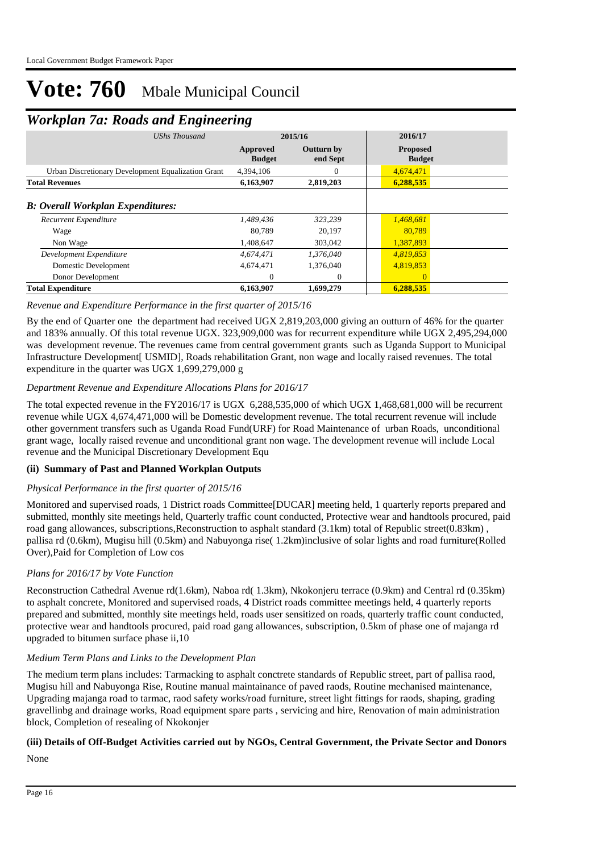## *Workplan 7a: Roads and Engineering*

| ິ                         |                                                    |           |                                             |
|---------------------------|----------------------------------------------------|-----------|---------------------------------------------|
|                           | 2015/16                                            |           |                                             |
| Approved<br><b>Budget</b> | Outturn by<br>end Sept                             |           |                                             |
| 4,394,106                 | 0                                                  | 4,674,471 |                                             |
| 6,163,907                 | 2,819,203                                          | 6,288,535 |                                             |
|                           |                                                    |           |                                             |
| 1.489.436                 | 323.239                                            | 1,468,681 |                                             |
| 80.789                    | 20,197                                             | 80,789    |                                             |
| 1,408,647                 | 303,042                                            | 1,387,893 |                                             |
| 4,674,471                 | 1.376.040                                          | 4,819,853 |                                             |
| 4,674,471                 | 1,376,040                                          | 4,819,853 |                                             |
| $\Omega$                  | $\theta$                                           | $\Omega$  |                                             |
| 6,163,907                 | 1,699,279                                          | 6,288,535 |                                             |
|                           | Urban Discretionary Development Equalization Grant |           | 2016/17<br><b>Proposed</b><br><b>Budget</b> |

#### *Revenue and Expenditure Performance in the first quarter of 2015/16*

By the end of Quarter one the department had received UGX 2,819,203,000 giving an outturn of 46% for the quarter and 183% annually. Of this total revenue UGX. 323,909,000 was for recurrent expenditure while UGX 2,495,294,000 was development revenue. The revenues came from central government grants such as Uganda Support to Municipal Infrastructure Development[ USMID], Roads rehabilitation Grant, non wage and locally raised revenues. The total expenditure in the quarter was UGX 1,699,279,000 g

#### *Department Revenue and Expenditure Allocations Plans for 2016/17*

The total expected revenue in the FY2016/17 is UGX 6,288,535,000 of which UGX 1,468,681,000 will be recurrent revenue while UGX 4,674,471,000 will be Domestic development revenue. The total recurrent revenue will include other government transfers such as Uganda Road Fund(URF) for Road Maintenance of urban Roads, unconditional grant wage, locally raised revenue and unconditional grant non wage. The development revenue will include Local revenue and the Municipal Discretionary Development Equ

#### **(ii) Summary of Past and Planned Workplan Outputs**

#### *Physical Performance in the first quarter of 2015/16*

Monitored and supervised roads, 1 District roads Committee[DUCAR] meeting held, 1 quarterly reports prepared and submitted, monthly site meetings held, Quarterly traffic count conducted, Protective wear and handtools procured, paid road gang allowances, subscriptions,Reconstruction to asphalt standard (3.1km) total of Republic street(0.83km) , pallisa rd (0.6km), Mugisu hill (0.5km) and Nabuyonga rise( 1.2km)inclusive of solar lights and road furniture(Rolled Over),Paid for Completion of Low cos

#### *Plans for 2016/17 by Vote Function*

Reconstruction Cathedral Avenue rd(1.6km), Naboa rd( 1.3km), Nkokonjeru terrace (0.9km) and Central rd (0.35km) to asphalt concrete, Monitored and supervised roads, 4 District roads committee meetings held, 4 quarterly reports prepared and submitted, monthly site meetings held, roads user sensitized on roads, quarterly traffic count conducted, protective wear and handtools procured, paid road gang allowances, subscription, 0.5km of phase one of majanga rd upgraded to bitumen surface phase ii,10

#### *Medium Term Plans and Links to the Development Plan*

The medium term plans includes: Tarmacking to asphalt conctrete standards of Republic street, part of pallisa raod, Mugisu hill and Nabuyonga Rise, Routine manual maintainance of paved raods, Routine mechanised maintenance, Upgrading majanga road to tarmac, raod safety works/road furniture, street light fittings for raods, shaping, grading gravellinbg and drainage works, Road equipment spare parts , servicing and hire, Renovation of main administration block, Completion of resealing of Nkokonjer

### **(iii) Details of Off-Budget Activities carried out by NGOs, Central Government, the Private Sector and Donors**

None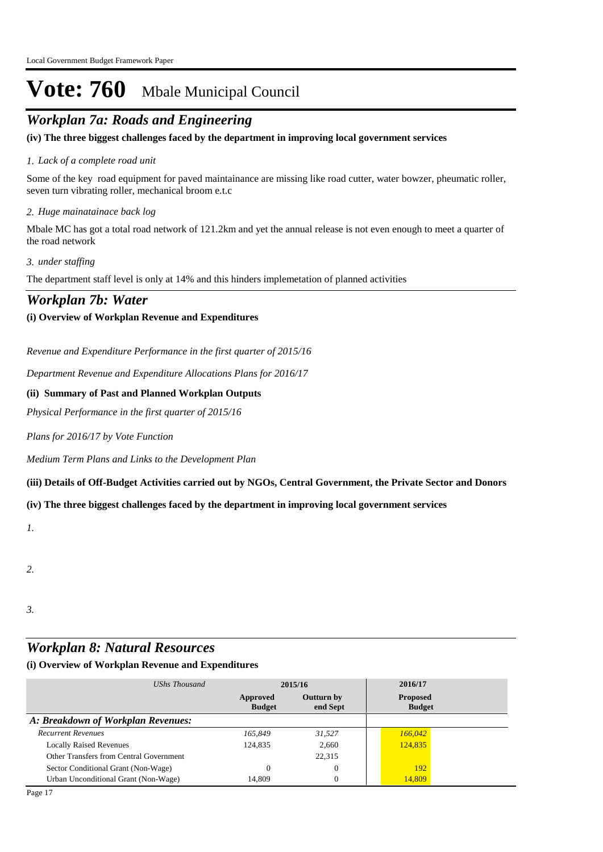## *Workplan 7a: Roads and Engineering*

**(iv) The three biggest challenges faced by the department in improving local government services**

#### *Lack of a complete road unit 1.*

Some of the key road equipment for paved maintainance are missing like road cutter, water bowzer, pheumatic roller, seven turn vibrating roller, mechanical broom e.t.c

#### *Huge mainatainace back log 2.*

Mbale MC has got a total road network of 121.2km and yet the annual release is not even enough to meet a quarter of the road network

#### *under staffing 3.*

The department staff level is only at 14% and this hinders implemetation of planned activities

### *Workplan 7b: Water*

### **(i) Overview of Workplan Revenue and Expenditures**

*Revenue and Expenditure Performance in the first quarter of 2015/16*

*Department Revenue and Expenditure Allocations Plans for 2016/17*

#### **(ii) Summary of Past and Planned Workplan Outputs**

*Physical Performance in the first quarter of 2015/16*

*Plans for 2016/17 by Vote Function*

*Medium Term Plans and Links to the Development Plan*

#### **(iii) Details of Off-Budget Activities carried out by NGOs, Central Government, the Private Sector and Donors**

#### **(iv) The three biggest challenges faced by the department in improving local government services**

*1.*

*2.*

*3.*

## *Workplan 8: Natural Resources*

**(i) Overview of Workplan Revenue and Expenditures**

| UShs Thousand                           |                           | 2015/16                       |                                  |  |
|-----------------------------------------|---------------------------|-------------------------------|----------------------------------|--|
|                                         | Approved<br><b>Budget</b> | <b>Outturn by</b><br>end Sept | <b>Proposed</b><br><b>Budget</b> |  |
| A: Breakdown of Workplan Revenues:      |                           |                               |                                  |  |
| <b>Recurrent Revenues</b>               | 165,849                   | 31.527                        | 166,042                          |  |
| <b>Locally Raised Revenues</b>          | 124,835                   | 2,660                         | 124,835                          |  |
| Other Transfers from Central Government |                           | 22,315                        |                                  |  |
| Sector Conditional Grant (Non-Wage)     |                           |                               | 192                              |  |
| Urban Unconditional Grant (Non-Wage)    | 14.809                    | 0                             | 14,809                           |  |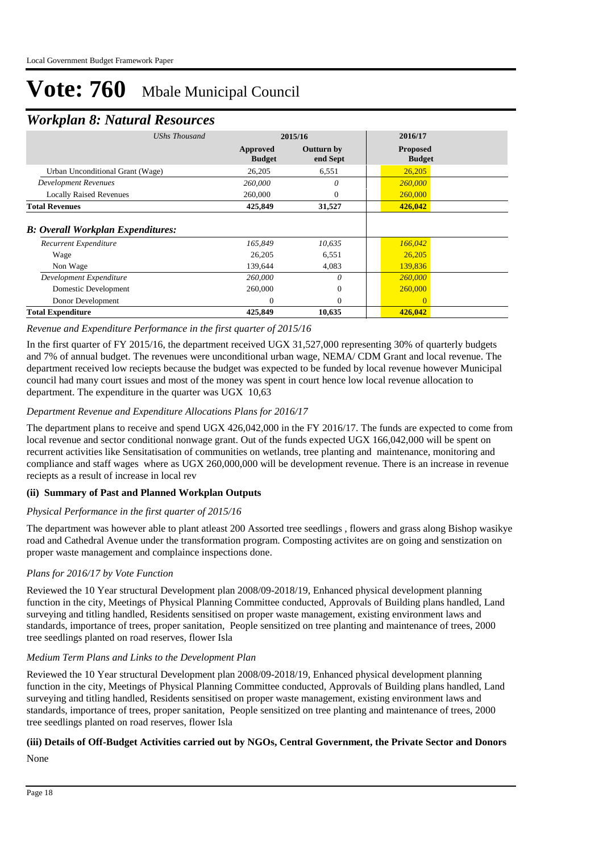### *Workplan 8: Natural Resources*

| ┻                                        |                           |                        |                                  |  |
|------------------------------------------|---------------------------|------------------------|----------------------------------|--|
| <b>UShs Thousand</b>                     |                           | 2015/16                | 2016/17                          |  |
|                                          | Approved<br><b>Budget</b> | Outturn by<br>end Sept | <b>Proposed</b><br><b>Budget</b> |  |
| Urban Unconditional Grant (Wage)         | 26,205                    | 6,551                  | 26,205                           |  |
| <b>Development Revenues</b>              | 260,000                   | 0                      | 260,000                          |  |
| <b>Locally Raised Revenues</b>           | 260,000                   | 0                      | 260,000                          |  |
| <b>Total Revenues</b>                    | 425,849                   | 31,527                 | 426,042                          |  |
| <b>B: Overall Workplan Expenditures:</b> |                           |                        |                                  |  |
| Recurrent Expenditure                    | 165,849                   | 10,635                 | 166,042                          |  |
| Wage                                     | 26,205                    | 6,551                  | 26,205                           |  |
| Non Wage                                 | 139.644                   | 4,083                  | 139,836                          |  |
| Development Expenditure                  | 260,000                   | $\theta$               | 260,000                          |  |
| Domestic Development                     | 260,000                   | $\theta$               | 260,000                          |  |
| Donor Development                        | $\overline{0}$            | $\theta$               | $\theta$                         |  |
| <b>Total Expenditure</b>                 | 425,849                   | 10,635                 | 426,042                          |  |

#### *Revenue and Expenditure Performance in the first quarter of 2015/16*

In the first quarter of FY 2015/16, the department received UGX 31,527,000 representing 30% of quarterly budgets and 7% of annual budget. The revenues were unconditional urban wage, NEMA/ CDM Grant and local revenue. The department received low reciepts because the budget was expected to be funded by local revenue however Municipal council had many court issues and most of the money was spent in court hence low local revenue allocation to department. The expenditure in the quarter was UGX 10,63

#### *Department Revenue and Expenditure Allocations Plans for 2016/17*

The department plans to receive and spend UGX 426,042,000 in the FY 2016/17. The funds are expected to come from local revenue and sector conditional nonwage grant. Out of the funds expected UGX 166,042,000 will be spent on recurrent activities like Sensitatisation of communities on wetlands, tree planting and maintenance, monitoring and compliance and staff wages where as UGX 260,000,000 will be development revenue. There is an increase in revenue reciepts as a result of increase in local rev

#### **(ii) Summary of Past and Planned Workplan Outputs**

#### *Physical Performance in the first quarter of 2015/16*

The department was however able to plant atleast 200 Assorted tree seedlings , flowers and grass along Bishop wasikye road and Cathedral Avenue under the transformation program. Composting activites are on going and senstization on proper waste management and complaince inspections done.

#### *Plans for 2016/17 by Vote Function*

Reviewed the 10 Year structural Development plan 2008/09-2018/19, Enhanced physical development planning function in the city, Meetings of Physical Planning Committee conducted, Approvals of Building plans handled, Land surveying and titling handled, Residents sensitised on proper waste management, existing environment laws and standards, importance of trees, proper sanitation, People sensitized on tree planting and maintenance of trees, 2000 tree seedlings planted on road reserves, flower Isla

#### *Medium Term Plans and Links to the Development Plan*

Reviewed the 10 Year structural Development plan 2008/09-2018/19, Enhanced physical development planning function in the city, Meetings of Physical Planning Committee conducted, Approvals of Building plans handled, Land surveying and titling handled, Residents sensitised on proper waste management, existing environment laws and standards, importance of trees, proper sanitation, People sensitized on tree planting and maintenance of trees, 2000 tree seedlings planted on road reserves, flower Isla

#### None **(iii) Details of Off-Budget Activities carried out by NGOs, Central Government, the Private Sector and Donors**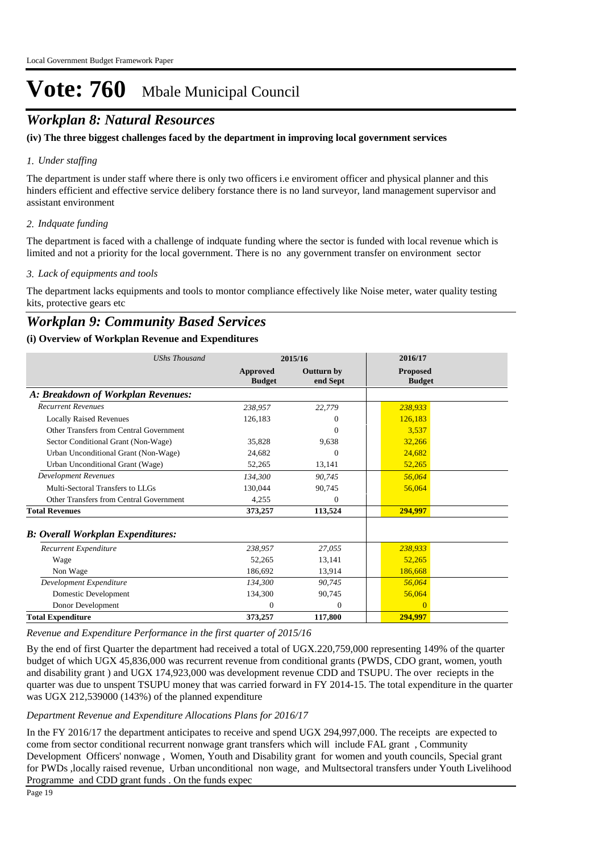### *Workplan 8: Natural Resources*

#### **(iv) The three biggest challenges faced by the department in improving local government services**

#### *Under staffing 1.*

The department is under staff where there is only two officers i.e enviroment officer and physical planner and this hinders efficient and effective service delibery forstance there is no land surveyor, land management supervisor and assistant environment

### *Indquate funding 2.*

The department is faced with a challenge of indquate funding where the sector is funded with local revenue which is limited and not a priority for the local government. There is no any government transfer on environment sector

#### *Lack of equipments and tools 3.*

The department lacks equipments and tools to montor compliance effectively like Noise meter, water quality testing kits, protective gears etc

### *Workplan 9: Community Based Services*

#### **(i) Overview of Workplan Revenue and Expenditures**

| <b>UShs Thousand</b>                     | 2015/16                   |                               | 2016/17                          |  |
|------------------------------------------|---------------------------|-------------------------------|----------------------------------|--|
|                                          | Approved<br><b>Budget</b> | <b>Outturn by</b><br>end Sept | <b>Proposed</b><br><b>Budget</b> |  |
| A: Breakdown of Workplan Revenues:       |                           |                               |                                  |  |
| <b>Recurrent Revenues</b>                | 238,957                   | 22,779                        | 238,933                          |  |
| <b>Locally Raised Revenues</b>           | 126,183                   | $\Omega$                      | 126,183                          |  |
| Other Transfers from Central Government  |                           | $\Omega$                      | 3,537                            |  |
| Sector Conditional Grant (Non-Wage)      | 35,828                    | 9,638                         | 32,266                           |  |
| Urban Unconditional Grant (Non-Wage)     | 24,682                    | $\Omega$                      | 24,682                           |  |
| Urban Unconditional Grant (Wage)         | 52,265                    | 13,141                        | 52,265                           |  |
| <b>Development Revenues</b>              | 134.300                   | 90.745                        | 56,064                           |  |
| Multi-Sectoral Transfers to LLGs         | 130,044                   | 90,745                        | 56,064                           |  |
| Other Transfers from Central Government  | 4.255                     | $\Omega$                      |                                  |  |
| <b>Total Revenues</b>                    | 373,257                   | 113,524                       | 294,997                          |  |
| <b>B: Overall Workplan Expenditures:</b> |                           |                               |                                  |  |
| Recurrent Expenditure                    | 238,957                   | 27,055                        | 238,933                          |  |
| Wage                                     | 52,265                    | 13,141                        | 52,265                           |  |
| Non Wage                                 | 186,692                   | 13,914                        | 186,668                          |  |
| Development Expenditure                  | 134,300                   | 90,745                        | 56,064                           |  |
| Domestic Development                     | 134,300                   | 90,745                        | 56,064                           |  |
| Donor Development                        | 0                         | $\Omega$                      | $\Omega$                         |  |
| <b>Total Expenditure</b>                 | 373,257                   | 117,800                       | 294,997                          |  |

*Revenue and Expenditure Performance in the first quarter of 2015/16*

By the end of first Quarter the department had received a total of UGX.220,759,000 representing 149% of the quarter budget of which UGX 45,836,000 was recurrent revenue from conditional grants (PWDS, CDO grant, women, youth and disability grant ) and UGX 174,923,000 was development revenue CDD and TSUPU. The over reciepts in the quarter was due to unspent TSUPU money that was carried forward in FY 2014-15. The total expenditure in the quarter was UGX 212,539000 (143%) of the planned expenditure

#### *Department Revenue and Expenditure Allocations Plans for 2016/17*

In the FY 2016/17 the department anticipates to receive and spend UGX 294,997,000. The receipts are expected to come from sector conditional recurrent nonwage grant transfers which will include FAL grant , Community Development Officers' nonwage , Women, Youth and Disability grant for women and youth councils, Special grant for PWDs ,locally raised revenue, Urban unconditional non wage, and Multsectoral transfers under Youth Livelihood Programme and CDD grant funds . On the funds expec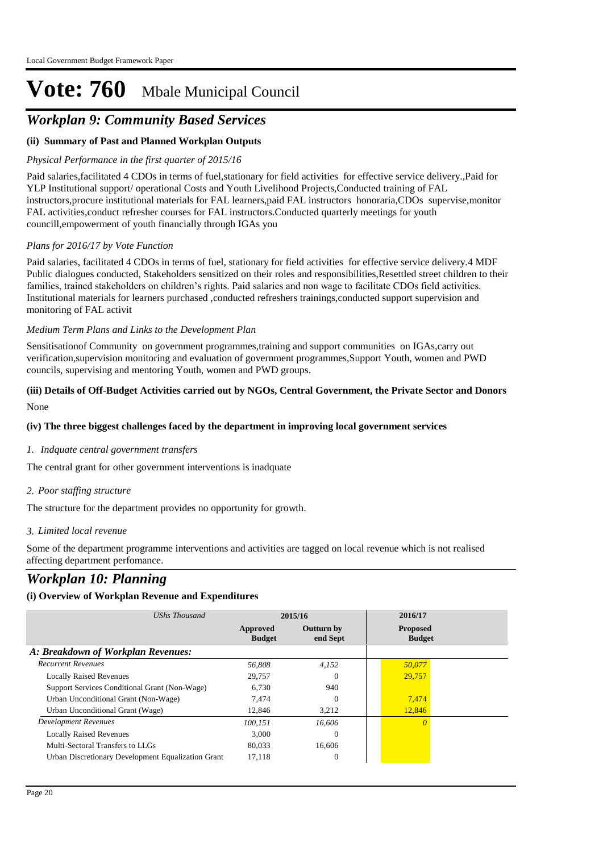## *Workplan 9: Community Based Services*

#### **(ii) Summary of Past and Planned Workplan Outputs**

#### *Physical Performance in the first quarter of 2015/16*

Paid salaries,facilitated 4 CDOs in terms of fuel,stationary for field activities for effective service delivery.,Paid for YLP Institutional support/ operational Costs and Youth Livelihood Projects,Conducted training of FAL instructors,procure institutional materials for FAL learners,paid FAL instructors honoraria,CDOs supervise,monitor FAL activities,conduct refresher courses for FAL instructors.Conducted quarterly meetings for youth councill,empowerment of youth financially through IGAs you

#### *Plans for 2016/17 by Vote Function*

Paid salaries, facilitated 4 CDOs in terms of fuel, stationary for field activities for effective service delivery.4 MDF Public dialogues conducted, Stakeholders sensitized on their roles and responsibilities,Resettled street children to their families, trained stakeholders on children's rights. Paid salaries and non wage to facilitate CDOs field activities. Institutional materials for learners purchased ,conducted refreshers trainings,conducted support supervision and monitoring of FAL activit

#### *Medium Term Plans and Links to the Development Plan*

Sensitisationof Community on government programmes,training and support communities on IGAs,carry out verification,supervision monitoring and evaluation of government programmes,Support Youth, women and PWD councils, supervising and mentoring Youth, women and PWD groups.

#### None **(iii) Details of Off-Budget Activities carried out by NGOs, Central Government, the Private Sector and Donors**

#### **(iv) The three biggest challenges faced by the department in improving local government services**

#### *Indquate central government transfers 1.*

The central grant for other government interventions is inadquate

#### *Poor staffing structure 2.*

The structure for the department provides no opportunity for growth.

#### *Limited local revenue 3.*

Some of the department programme interventions and activities are tagged on local revenue which is not realised affecting department perfomance.

### *Workplan 10: Planning*

#### **(i) Overview of Workplan Revenue and Expenditures**

| UShs Thousand                                      | 2015/16                   |                               | 2016/17                          |
|----------------------------------------------------|---------------------------|-------------------------------|----------------------------------|
|                                                    | Approved<br><b>Budget</b> | <b>Outturn by</b><br>end Sept | <b>Proposed</b><br><b>Budget</b> |
| A: Breakdown of Workplan Revenues:                 |                           |                               |                                  |
| <b>Recurrent Revenues</b>                          | 56,808                    | 4.152                         | 50,077                           |
| <b>Locally Raised Revenues</b>                     | 29.757                    | $\Omega$                      | 29,757                           |
| Support Services Conditional Grant (Non-Wage)      | 6,730                     | 940                           |                                  |
| Urban Unconditional Grant (Non-Wage)               | 7,474                     | $\Omega$                      | 7,474                            |
| Urban Unconditional Grant (Wage)                   | 12,846                    | 3,212                         | 12,846                           |
| <b>Development Revenues</b>                        | 100.151                   | 16.606                        | $\Omega$                         |
| <b>Locally Raised Revenues</b>                     | 3.000                     | $\Omega$                      |                                  |
| Multi-Sectoral Transfers to LLGs                   | 80,033                    | 16,606                        |                                  |
| Urban Discretionary Development Equalization Grant | 17,118                    | $\theta$                      |                                  |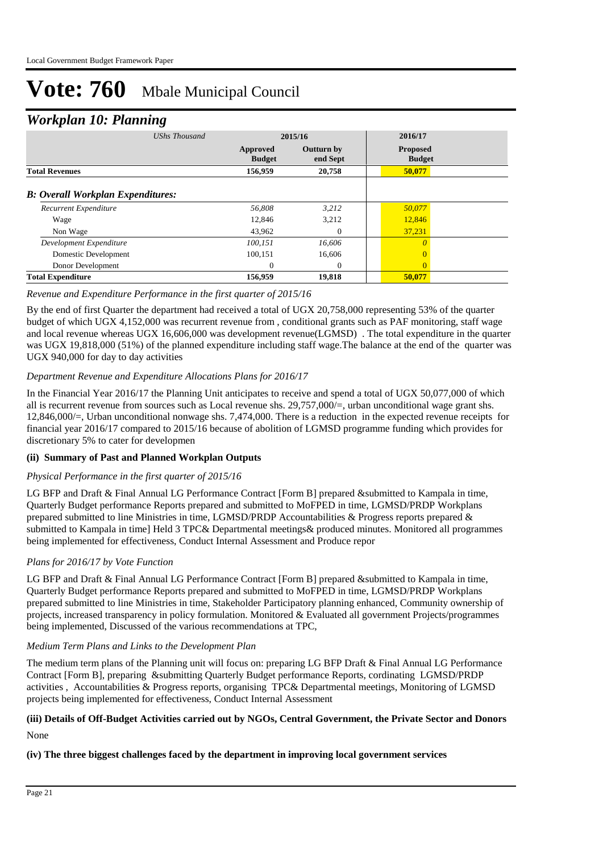### *Workplan 10: Planning*

| ┻                                        | ິ                    |                           |                        |                 |               |
|------------------------------------------|----------------------|---------------------------|------------------------|-----------------|---------------|
|                                          | <b>UShs Thousand</b> | 2015/16                   |                        | 2016/17         |               |
|                                          |                      | Approved<br><b>Budget</b> | Outturn by<br>end Sept | <b>Proposed</b> | <b>Budget</b> |
| <b>Total Revenues</b>                    |                      | 156,959                   | 20,758                 | 50,077          |               |
| <b>B: Overall Workplan Expenditures:</b> |                      |                           |                        |                 |               |
| Recurrent Expenditure                    |                      | 56,808                    | 3,212                  | 50,077          |               |
| Wage                                     |                      | 12,846                    | 3,212                  | 12,846          |               |
| Non Wage                                 |                      | 43,962                    | $\Omega$               | 37,231          |               |
| Development Expenditure                  |                      | 100,151                   | 16.606                 |                 |               |
| Domestic Development                     |                      | 100,151                   | 16,606                 |                 | $\Omega$      |
| Donor Development                        |                      | $\Omega$                  | $\Omega$               |                 | $\Omega$      |
| <b>Total Expenditure</b>                 |                      | 156,959                   | 19,818                 | 50,077          |               |

#### *Revenue and Expenditure Performance in the first quarter of 2015/16*

By the end of first Quarter the department had received a total of UGX 20,758,000 representing 53% of the quarter budget of which UGX 4,152,000 was recurrent revenue from , conditional grants such as PAF monitoring, staff wage and local revenue whereas UGX 16,606,000 was development revenue(LGMSD) . The total expenditure in the quarter was UGX 19,818,000 (51%) of the planned expenditure including staff wage.The balance at the end of the quarter was UGX 940,000 for day to day activities

#### *Department Revenue and Expenditure Allocations Plans for 2016/17*

In the Financial Year 2016/17 the Planning Unit anticipates to receive and spend a total of UGX 50,077,000 of which all is recurrent revenue from sources such as Local revenue shs.  $29.757,000 =$ , urban unconditional wage grant shs. 12,846,000/=, Urban unconditional nonwage shs. 7,474,000. There is a reduction in the expected revenue receipts for financial year 2016/17 compared to 2015/16 because of abolition of LGMSD programme funding which provides for discretionary 5% to cater for developmen

#### **(ii) Summary of Past and Planned Workplan Outputs**

#### *Physical Performance in the first quarter of 2015/16*

LG BFP and Draft & Final Annual LG Performance Contract [Form B] prepared &submitted to Kampala in time, Quarterly Budget performance Reports prepared and submitted to MoFPED in time, LGMSD/PRDP Workplans prepared submitted to line Ministries in time, LGMSD/PRDP Accountabilities & Progress reports prepared & submitted to Kampala in time] Held 3 TPC& Departmental meetings& produced minutes. Monitored all programmes being implemented for effectiveness, Conduct Internal Assessment and Produce repor

#### *Plans for 2016/17 by Vote Function*

LG BFP and Draft & Final Annual LG Performance Contract [Form B] prepared &submitted to Kampala in time, Quarterly Budget performance Reports prepared and submitted to MoFPED in time, LGMSD/PRDP Workplans prepared submitted to line Ministries in time, Stakeholder Participatory planning enhanced, Community ownership of projects, increased transparency in policy formulation. Monitored & Evaluated all government Projects/programmes being implemented, Discussed of the various recommendations at TPC,

#### *Medium Term Plans and Links to the Development Plan*

The medium term plans of the Planning unit will focus on: preparing LG BFP Draft & Final Annual LG Performance Contract [Form B], preparing &submitting Quarterly Budget performance Reports, cordinating LGMSD/PRDP activities , Accountabilities & Progress reports, organising TPC& Departmental meetings, Monitoring of LGMSD projects being implemented for effectiveness, Conduct Internal Assessment

## **(iii) Details of Off-Budget Activities carried out by NGOs, Central Government, the Private Sector and Donors**

None

#### **(iv) The three biggest challenges faced by the department in improving local government services**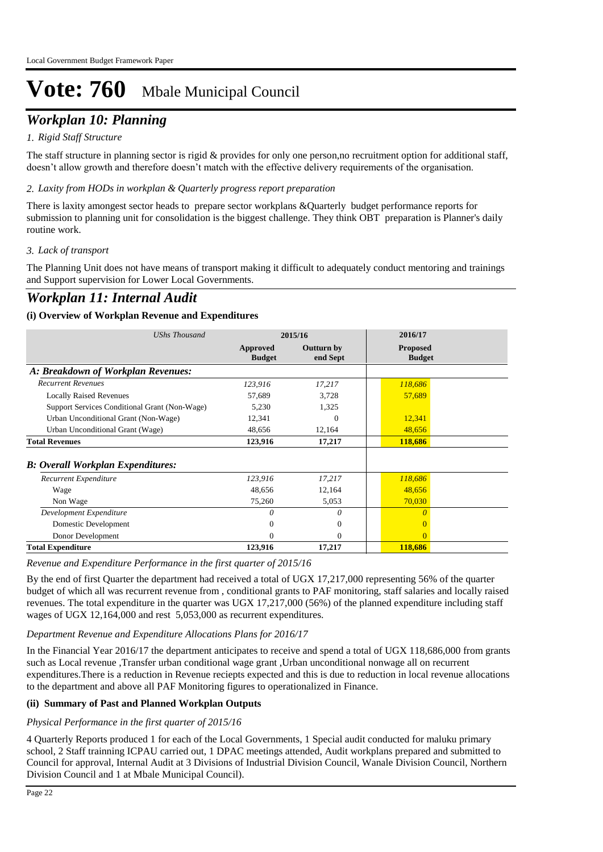## *Workplan 10: Planning*

#### *Rigid Staff Structure 1.*

The staff structure in planning sector is rigid & provides for only one person, no recruitment option for additional staff, doesn't allow growth and therefore doesn't match with the effective delivery requirements of the organisation.

#### *Laxity from HODs in workplan & Quarterly progress report preparation 2.*

There is laxity amongest sector heads to prepare sector workplans &Quarterly budget performance reports for submission to planning unit for consolidation is the biggest challenge. They think OBT preparation is Planner's daily routine work.

#### *Lack of transport 3.*

The Planning Unit does not have means of transport making it difficult to adequately conduct mentoring and trainings and Support supervision for Lower Local Governments.

### *Workplan 11: Internal Audit*

#### **(i) Overview of Workplan Revenue and Expenditures**

| <b>UShs Thousand</b>                          | 2015/16                   |                               | 2016/17                          |  |
|-----------------------------------------------|---------------------------|-------------------------------|----------------------------------|--|
|                                               | Approved<br><b>Budget</b> | <b>Outturn by</b><br>end Sept | <b>Proposed</b><br><b>Budget</b> |  |
| A: Breakdown of Workplan Revenues:            |                           |                               |                                  |  |
| <b>Recurrent Revenues</b>                     | 123,916                   | 17,217                        | 118,686                          |  |
| <b>Locally Raised Revenues</b>                | 57,689                    | 3,728                         | 57,689                           |  |
| Support Services Conditional Grant (Non-Wage) | 5,230                     | 1,325                         |                                  |  |
| Urban Unconditional Grant (Non-Wage)          | 12,341                    | $\Omega$                      | 12,341                           |  |
| Urban Unconditional Grant (Wage)              | 48,656                    | 12,164                        | 48,656                           |  |
| <b>Total Revenues</b>                         | 123,916                   | 17,217                        | 118,686                          |  |
| <b>B: Overall Workplan Expenditures:</b>      |                           |                               |                                  |  |
| Recurrent Expenditure                         | 123,916                   | 17,217                        | 118,686                          |  |
| Wage                                          | 48,656                    | 12,164                        | 48,656                           |  |
| Non Wage                                      | 75,260                    | 5,053                         | 70,030                           |  |
| Development Expenditure                       | 0                         | 0                             | O                                |  |
| Domestic Development                          | 0                         | $\mathbf{0}$                  |                                  |  |
| Donor Development                             | 0                         | $\mathbf{0}$                  | $\Omega$                         |  |
| <b>Total Expenditure</b>                      | 123,916                   | 17,217                        | 118,686                          |  |

#### *Revenue and Expenditure Performance in the first quarter of 2015/16*

By the end of first Quarter the department had received a total of UGX 17,217,000 representing 56% of the quarter budget of which all was recurrent revenue from , conditional grants to PAF monitoring, staff salaries and locally raised revenues. The total expenditure in the quarter was UGX 17,217,000 (56%) of the planned expenditure including staff wages of UGX 12,164,000 and rest 5,053,000 as recurrent expenditures.

#### *Department Revenue and Expenditure Allocations Plans for 2016/17*

In the Financial Year 2016/17 the department anticipates to receive and spend a total of UGX 118,686,000 from grants such as Local revenue ,Transfer urban conditional wage grant ,Urban unconditional nonwage all on recurrent expenditures.There is a reduction in Revenue reciepts expected and this is due to reduction in local revenue allocations to the department and above all PAF Monitoring figures to operationalized in Finance.

#### **(ii) Summary of Past and Planned Workplan Outputs**

#### *Physical Performance in the first quarter of 2015/16*

4 Quarterly Reports produced 1 for each of the Local Governments, 1 Special audit conducted for maluku primary school, 2 Staff trainning ICPAU carried out, 1 DPAC meetings attended, Audit workplans prepared and submitted to Council for approval, Internal Audit at 3 Divisions of Industrial Division Council, Wanale Division Council, Northern Division Council and 1 at Mbale Municipal Council).